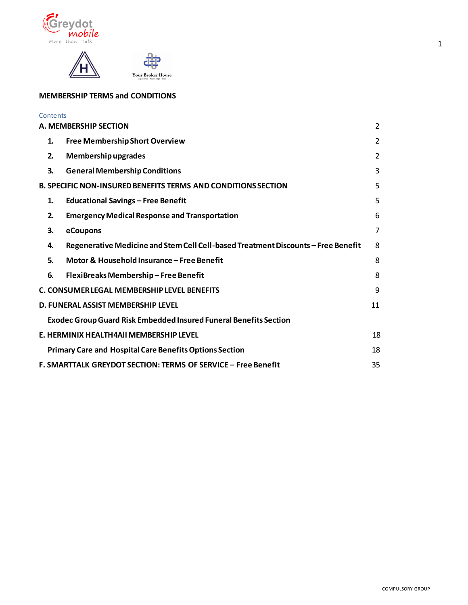



# **MEMBERSHIP TERMS and CONDITIONS**

| Contents |                                                                                   |                |
|----------|-----------------------------------------------------------------------------------|----------------|
|          | A. MEMBERSHIP SECTION                                                             | $\overline{2}$ |
| 1.       | <b>Free Membership Short Overview</b>                                             | $\overline{2}$ |
| 2.       | Membership upgrades                                                               | $\overline{2}$ |
| 3.       | <b>General Membership Conditions</b>                                              | $\overline{3}$ |
|          | <b>B. SPECIFIC NON-INSURED BENEFITS TERMS AND CONDITIONS SECTION</b>              | 5              |
| 1.       | <b>Educational Savings - Free Benefit</b>                                         | 5              |
| 2.       | <b>Emergency Medical Response and Transportation</b>                              | 6              |
| 3.       | eCoupons                                                                          | 7              |
| 4.       | Regenerative Medicine and Stem Cell Cell-based Treatment Discounts - Free Benefit | 8              |
| 5.       | Motor & Household Insurance - Free Benefit                                        | 8              |
| 6.       | FlexiBreaks Membership-Free Benefit                                               | 8              |
|          | C. CONSUMER LEGAL MEMBERSHIP LEVEL BENEFITS                                       | 9              |
|          | D. FUNERAL ASSIST MEMBERSHIP LEVEL                                                | 11             |
|          | <b>Exodec Group Guard Risk Embedded Insured Funeral Benefits Section</b>          |                |
|          | E. HERMINIX HEALTH4AII MEMBERSHIP LEVEL                                           | 18             |
|          | <b>Primary Care and Hospital Care Benefits Options Section</b>                    | 18             |
|          | F. SMARTTALK GREYDOT SECTION: TERMS OF SERVICE - Free Benefit                     | 35             |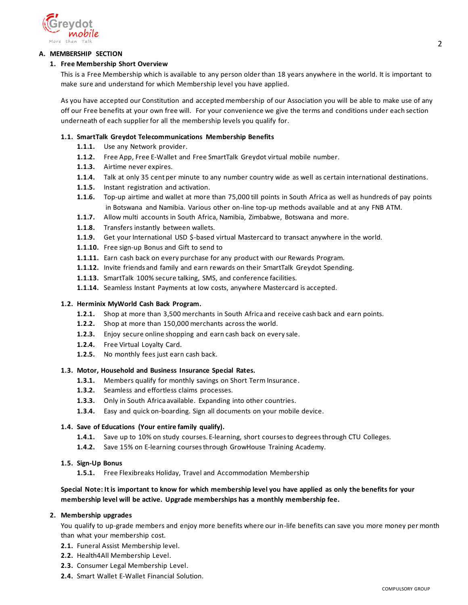

## <span id="page-1-1"></span><span id="page-1-0"></span>**A. MEMBERSHIP SECTION**

## **1. Free Membership Short Overview**

This is a Free Membership which is available to any person older than 18 years anywhere in the world. It is important to make sure and understand for which Membership level you have applied.

As you have accepted our Constitution and accepted membership of our Association you will be able to make use of any off our Free benefits at your own free will. For your convenience we give the terms and conditions under each section underneath of each supplier for all the membership levels you qualify for.

## **1.1. SmartTalk Greydot Telecommunications Membership Benefits**

- **1.1.1.** Use any Network provider.
- **1.1.2.** Free App, Free E-Wallet and Free SmartTalk Greydot virtual mobile number.
- **1.1.3.** Airtime never expires.
- **1.1.4.** Talk at only 35 cent per minute to any number country wide as well as certain international destinations.
- **1.1.5.** Instant registration and activation.
- **1.1.6.** Top-up airtime and wallet at more than 75,000 till points in South Africa as well as hundreds of pay points in Botswana and Namibia. Various other on-line top-up methods available and at any FNB ATM.
- **1.1.7.** Allow multi accounts in South Africa, Namibia, Zimbabwe, Botswana and more.
- **1.1.8.** Transfers instantly between wallets.
- **1.1.9.** Get your International USD \$-based virtual Mastercard to transact anywhere in the world.
- **1.1.10.** Free sign-up Bonus and Gift to send to
- **1.1.11.** Earn cash back on every purchase for any product with our Rewards Program.
- **1.1.12.** Invite friends and family and earn rewards on their SmartTalk Greydot Spending.
- **1.1.13.** SmartTalk 100% secure talking, SMS, and conference facilities.
- **1.1.14.** Seamless Instant Payments at low costs, anywhere Mastercard is accepted.

## **1.2. Herminix MyWorld Cash Back Program.**

- **1.2.1.** Shop at more than 3,500 merchants in South Africa and receive cash back and earn points.
- **1.2.2.** Shop at more than 150,000 merchants across the world.
- **1.2.3.** Enjoy secure online shopping and earn cash back on every sale.
- **1.2.4.** Free Virtual Loyalty Card.
- **1.2.5.** No monthly fees just earn cash back.

## **1.3. Motor, Household and Business Insurance Special Rates.**

- **1.3.1.** Members qualify for monthly savings on Short Term Insurance.
- **1.3.2.** Seamless and effortless claims processes.
- **1.3.3.** Only in South Africa available. Expanding into other countries.
- **1.3.4.** Easy and quick on-boarding. Sign all documents on your mobile device.

## **1.4. Save of Educations (Your entire family qualify).**

- **1.4.1.** Save up to 10% on study courses. E-learning, short courses to degrees through CTU Colleges.
- **1.4.2.** Save 15% on E-learning courses through GrowHouse Training Academy.

## **1.5. Sign-Up Bonus**

**1.5.1.** Free Flexibreaks Holiday, Travel and Accommodation Membership

## **Special Note: It is important to know for which membership level you have applied as only the benefits for your membership level will be active. Upgrade memberships has a monthly membership fee.**

## <span id="page-1-2"></span>**2. Membership upgrades**

You qualify to up-grade members and enjoy more benefits where our in-life benefits can save you more money per month than what your membership cost.

- **2.1.** Funeral Assist Membership level.
- **2.2.** Health4All Membership Level.
- **2.3.** Consumer Legal Membership Level.
- **2.4.** Smart Wallet E-Wallet Financial Solution.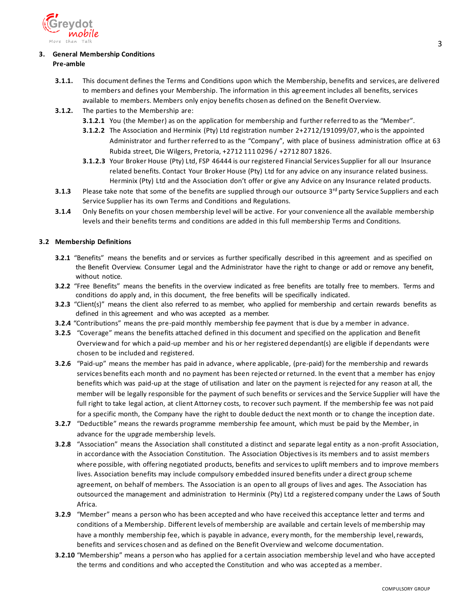

## <span id="page-2-0"></span>**3. General Membership Conditions Pre-amble**

- **3.1.1.** This document defines the Terms and Conditions upon which the Membership, benefits and services, are delivered to members and defines your Membership. The information in this agreement includes all benefits, services available to members. Members only enjoy benefits chosen as defined on the Benefit Overview.
- **3.1.2.** The parties to the Membership are:
	- **3.1.2.1** You (the Member) as on the application for membership and further referred to as the "Member".
	- **3.1.2.2** The Association and Herminix (Pty) Ltd registration number 2+2712/191099/07,who is the appointed Administrator and further referred to as the "Company", with place of business administration office at 63 Rubida street, Die Wilgers, Pretoria, +2712 111 0296 / +2712 807 1826.
	- **3.1.2.3** Your Broker House (Pty) Ltd, FSP 46444 is our registered Financial Services Supplier for all our Insurance related benefits. Contact Your Broker House (Pty) Ltd for any advice on any insurance related business. Herminix (Pty) Ltd and the Association don't offer or give any Advice on any Insurance related products.
- **3.1.3** Please take note that some of the benefits are supplied through our outsource 3<sup>rd</sup> party Service Suppliers and each Service Supplier has its own Terms and Conditions and Regulations.
- **3.1.4** Only Benefits on your chosen membership level will be active. For your convenience all the available membership levels and their benefits terms and conditions are added in this full membership Terms and Conditions.

## **3.2 Membership Definitions**

- **3.2.1** "Benefits" means the benefits and or services as further specifically described in this agreement and as specified on the Benefit Overview. Consumer Legal and the Administrator have the right to change or add or remove any benefit, without notice.
- **3.2.2** "Free Benefits" means the benefits in the overview indicated as free benefits are totally free to members. Terms and conditions do apply and, in this document, the free benefits will be specifically indicated.
- **3.2.3** "Client(s)" means the client also referred to as member, who applied for membership and certain rewards benefits as defined in this agreement and who was accepted as a member.
- **3.2.4** "Contributions" means the pre-paid monthly membership fee payment that is due by a member in advance.
- **3.2.5** "Coverage" means the benefits attached defined in this document and specified on the application and Benefit Overview and for which a paid-up member and his or her registered dependant(s) are eligible if dependants were chosen to be included and registered.
- **3.2.6** "Paid-up" means the member has paid in advance, where applicable, (pre-paid) for the membership and rewards services benefits each month and no payment has been rejected or returned. In the event that a member has enjoy benefits which was paid-up at the stage of utilisation and later on the payment is rejected for any reason at all, the member will be legally responsible for the payment of such benefits or services and the Service Supplier will have the full right to take legal action, at client Attorney costs, to recover such payment. If the membership fee was not paid for a specific month, the Company have the right to double deduct the next month or to change the inception date.
- **3.2.7** "Deductible" means the rewards programme membership fee amount, which must be paid by the Member, in advance for the upgrade membership levels.
- **3.2.8** "Association" means the Association shall constituted a distinct and separate legal entity as a non-profit Association, in accordance with the Association Constitution. The Association Objectives is its members and to assist members where possible, with offering negotiated products, benefits and services to uplift members and to improve members lives. Association benefits may include compulsory embedded insured benefits under a direct group scheme agreement, on behalf of members. The Association is an open to all groups of lives and ages. The Association has outsourced the management and administration to Herminix (Pty) Ltd a registered company under the Laws of South Africa.
- **3.2.9** "Member" means a person who has been accepted and who have received this acceptance letter and terms and conditions of a Membership. Different levels of membership are available and certain levels of membership may have a monthly membership fee, which is payable in advance, every month, for the membership level, rewards, benefits and services chosen and as defined on the Benefit Overview and welcome documentation.
- **3.2.10** "Membership" means a person who has applied for a certain association membership level and who have accepted the terms and conditions and who accepted the Constitution and who was accepted as a member.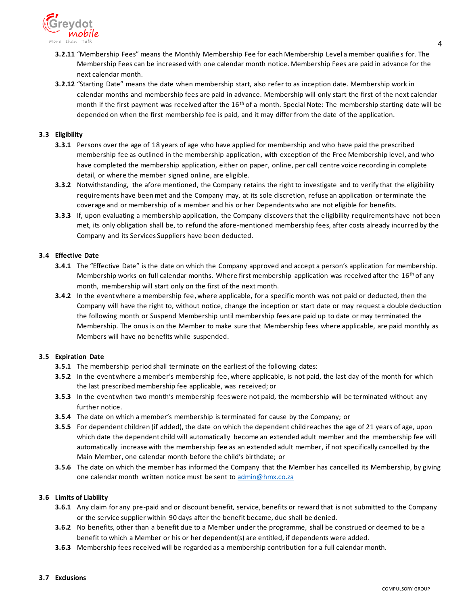

- **3.2.11** "Membership Fees" means the Monthly Membership Fee for each Membership Level a member qualifie s for. The Membership Fees can be increased with one calendar month notice. Membership Fees are paid in advance for the next calendar month.
- **3.2.12** "Starting Date" means the date when membership start, also refer to as inception date. Membership work in calendar months and membership fees are paid in advance. Membership will only start the first of the next calendar month if the first payment was received after the  $16<sup>th</sup>$  of a month. Special Note: The membership starting date will be depended on when the first membership fee is paid, and it may differ from the date of the application.

#### **3.3 Eligibility**

- **3.3.1** Persons over the age of 18 years of age who have applied for membership and who have paid the prescribed membership fee as outlined in the membership application, with exception of the Free Membership level, and who have completed the membership application, either on paper, online, per call centre voice recording in complete detail, or where the member signed online, are eligible.
- **3.3.2** Notwithstanding, the afore mentioned, the Company retains the right to investigate and to verify that the eligibility requirements have been met and the Company may, at its sole discretion, refuse an application or terminate the coverage and or membership of a member and his or her Dependents who are not eligible for benefits.
- **3.3.3** If, upon evaluating a membership application, the Company discovers that the e ligibility requirements have not been met, its only obligation shall be, to refund the afore-mentioned membership fees, after costs already incurred by the Company and its Services Suppliers have been deducted.

#### **3.4 Effective Date**

- **3.4.1** The "Effective Date" is the date on which the Company approved and accept a person's application for membership. Membership works on full calendar months. Where first membership application was received after the  $16<sup>th</sup>$  of any month, membership will start only on the first of the next month.
- **3.4.2** In the event where a membership fee, where applicable, for a specific month was not paid or deducted, then the Company will have the right to, without notice, change the inception or start date or may request a double deduction the following month or Suspend Membership until membership fees are paid up to date or may terminated the Membership. The onus is on the Member to make sure that Membership fees where applicable, are paid monthly as Members will have no benefits while suspended.

#### **3.5 Expiration Date**

- **3.5.1** The membership period shall terminate on the earliest of the following dates:
- **3.5.2** In the event where a member's membership fee, where applicable, is not paid, the last day of the month for which the last prescribed membership fee applicable, was received; or
- **3.5.3** In the event when two month's membership fees were not paid, the membership will be terminated without any further notice.
- **3.5.4** The date on which a member's membership is terminated for cause by the Company; or
- **3.5.5** For dependent children (if added), the date on which the dependent child reaches the age of 21 years of age, upon which date the dependent child will automatically become an extended adult member and the membership fee will automatically increase with the membership fee as an extended adult member, if not specifically cancelled by the Main Member, one calendar month before the child's birthdate; or
- **3.5.6** The date on which the member has informed the Company that the Member has cancelled its Membership, by giving one calendar month written notice must be sent to [admin@hmx.co.za](mailto:admin@hmx.co.za)

#### **3.6 Limits of Liability**

- **3.6.1** Any claim for any pre-paid and or discount benefit, service, benefits or reward that is not submitted to the Company or the service supplier within 90 days after the benefit became, due shall be denied.
- **3.6.2** No benefits, other than a benefit due to a Member under the programme, shall be construed or deemed to be a benefit to which a Member or his or her dependent(s) are entitled, if dependents were added.
- **3.6.3** Membership fees received will be regarded as a membership contribution for a full calendar month.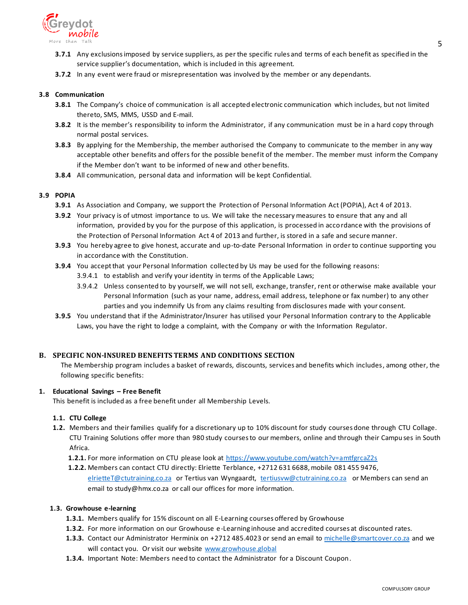

- **3.7.1** Any exclusions imposed by service suppliers, as per the specific rules and terms of each benefit as specified in the service supplier's documentation, which is included in this agreement.
- **3.7.2** In any event were fraud or misrepresentation was involved by the member or any dependants.

#### **3.8 Communication**

- **3.8.1** The Company's choice of communication is all accepted electronic communication which includes, but not limited thereto, SMS, MMS, USSD and E-mail.
- **3.8.2** It is the member's responsibility to inform the Administrator, if any communication must be in a hard copy through normal postal services.
- **3.8.3** By applying for the Membership, the member authorised the Company to communicate to the member in any way acceptable other benefits and offers for the possible benefit of the member. The member must inform the Company if the Member don't want to be informed of new and other benefits.
- **3.8.4** All communication, personal data and information will be kept Confidential.

### **3.9 POPIA**

- **3.9.1** As Association and Company, we support the Protection of Personal Information Act (POPIA), Act 4 of 2013.
- **3.9.2** Your privacy is of utmost importance to us. We will take the necessary measures to ensure that any and all information, provided by you for the purpose of this application, is processed in accordance with the provisions of the Protection of Personal Information Act 4 of 2013 and further, is stored in a safe and secure manner.
- **3.9.3** You hereby agree to give honest, accurate and up-to-date Personal Information in order to continue supporting you in accordance with the Constitution.
- **3.9.4** You accept that your Personal Information collected by Us may be used for the following reasons:
	- 3.9.4.1 to establish and verify your identity in terms of the Applicable Laws;
	- 3.9.4.2 Unless consented to by yourself, we will not sell, exchange, transfer, rent or otherwise make available your Personal Information (such as your name, address, email address, telephone or fax number) to any other parties and you indemnify Us from any claims resulting from disclosures made with your consent.
- **3.9.5** You understand that if the Administrator/Insurer has utilised your Personal Information contrary to the Applicable Laws, you have the right to lodge a complaint, with the Company or with the Information Regulator.

## <span id="page-4-0"></span>**B. SPECIFIC NON-INSURED BENEFITS TERMS AND CONDITIONS SECTION**

The Membership program includes a basket of rewards, discounts, services and benefits which includes, among other, the following specific benefits:

#### <span id="page-4-1"></span>**1. Educational Savings – Free Benefit**

This benefit is included as a free benefit under all Membership Levels.

#### **1.1. CTU College**

- **1.2.** Members and their families qualify for a discretionary up to 10% discount for study courses done through CTU Collage. CTU Training Solutions offer more than 980 study courses to our members, online and through their Campu ses in South Africa.
	- 1.2.1. For more information on CTU please look at<https://www.youtube.com/watch?v=amtfgrcaZ2s>
	- **1.2.2.** Members can contact CTU directly: Elriette Terblance, +2712 631 6688, mobile 081 455 9476, [elrietteT@ctutraining.co.za](mailto:elrietteT@ctutraining.co.za) or Tertius van Wyngaardt, [tertiusvw@ctutraining.co.za](mailto:tertiusvw@ctutraining.co.za) or Members can send an

email to study@hmx.co.za or call our offices for more information.

#### **1.3. Growhouse e-learning**

- **1.3.1.** Members qualify for 15% discount on all E-Learning courses offered by Growhouse
- **1.3.2.** For more information on our Growhouse e-Learning inhouse and accredited courses at discounted rates.
- **1.3.3.** Contact our Administrator Herminix on +2712 485.4023 or send an email to [michelle@smartcover.co.za](mailto:michelle@smartcover.co.za) and we will contact you. Or visit our website [www.growhouse.global](http://www.growhouse.global/)
- **1.3.4.** Important Note: Members need to contact the Administrator for a Discount Coupon.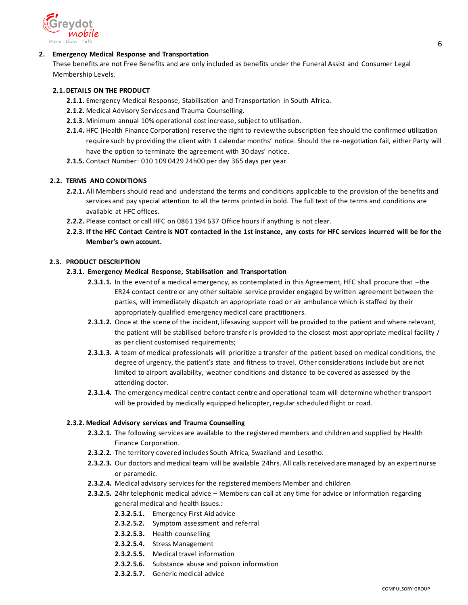

### <span id="page-5-0"></span>**2. Emergency Medical Response and Transportation**

These benefits are not Free Benefits and are only included as benefits under the Funeral Assist and Consumer Legal Membership Levels.

### **2.1.DETAILS ON THE PRODUCT**

- **2.1.1.** Emergency Medical Response, Stabilisation and Transportation in South Africa.
- **2.1.2.** Medical Advisory Services and Trauma Counselling.
- **2.1.3.** Minimum annual 10% operational cost increase, subject to utilisation.
- **2.1.4.** HFC (Health Finance Corporation) reserve the right to review the subscription fee should the confirmed utilization require such by providing the client with 1 calendar months' notice. Should the re-negotiation fail, either Party will have the option to terminate the agreement with 30 days' notice.
- **2.1.5.** Contact Number: 010 109 0429 24h00 per day 365 days per year

## **2.2. TERMS AND CONDITIONS**

- **2.2.1.** All Members should read and understand the terms and conditions applicable to the provision of the benefits and services and pay special attention to all the terms printed in bold. The full text of the terms and conditions are available at HFC offices.
- **2.2.2.** Please contact or call HFC on 0861 194 637 Office hours if anything is not clear.
- **2.2.3. If the HFC Contact Centre is NOT contacted in the 1st instance, any costs for HFC services incurred will be for the Member's own account.**

### **2.3. PRODUCT DESCRIPTION**

### **2.3.1. Emergency Medical Response, Stabilisation and Transportation**

- **2.3.1.1.** In the event of a medical emergency, as contemplated in this Agreement, HFC shall procure that –the ER24 contact centre or any other suitable service provider engaged by written agreement between the parties, will immediately dispatch an appropriate road or air ambulance which is staffed by their appropriately qualified emergency medical care practitioners.
- **2.3.1.2.** Once at the scene of the incident, lifesaving support will be provided to the patient and where relevant, the patient will be stabilised before transfer is provided to the closest most appropriate medical facility / as per client customised requirements;
- **2.3.1.3.** A team of medical professionals will prioritize a transfer of the patient based on medical conditions, the degree of urgency, the patient's state and fitness to travel. Other considerations include but are not limited to airport availability, weather conditions and distance to be covered as assessed by the attending doctor.
- **2.3.1.4.** The emergency medical centre contact centre and operational team will determine whether transport will be provided by medically equipped helicopter, regular scheduled flight or road.

#### **2.3.2. Medical Advisory services and Trauma Counselling**

- **2.3.2.1.** The following services are available to the registered members and children and supplied by Health Finance Corporation.
- **2.3.2.2.** The territory covered includes South Africa, Swaziland and Lesotho.
- **2.3.2.3.** Our doctors and medical team will be available 24hrs. All calls received are managed by an expert nurse or paramedic.
- **2.3.2.4.** Medical advisory servicesfor the registered members Member and children
- **2.3.2.5.** 24hr telephonic medical advice Members can call at any time for advice or information regarding general medical and health issues.:
	- **2.3.2.5.1.** Emergency First Aid advice
	- **2.3.2.5.2.** Symptom assessment and referral
	- **2.3.2.5.3.** Health counselling
	- **2.3.2.5.4.** Stress Management
	- **2.3.2.5.5.** Medical travel information
	- **2.3.2.5.6.** Substance abuse and poison information
	- **2.3.2.5.7.** Generic medical advice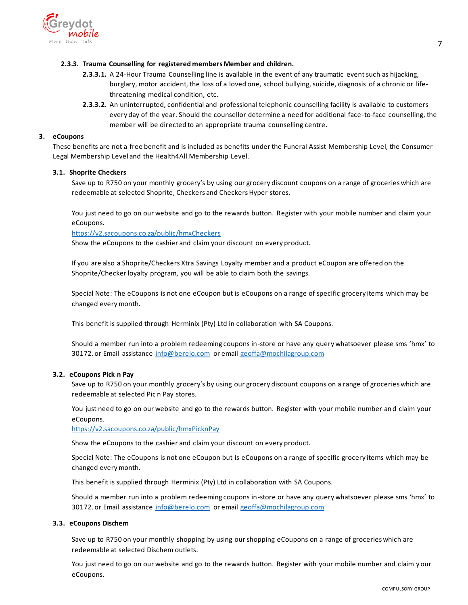

### **2.3.3. Trauma Counselling for registered members Member and children.**

- **2.3.3.1.** A 24-Hour Trauma Counselling line is available in the event of any traumatic event such as hijacking, burglary, motor accident, the loss of a loved one, school bullying, suicide, diagnosis of a chronic or lifethreatening medical condition, etc.
- **2.3.3.2.** An uninterrupted, confidential and professional telephonic counselling facility is available to customers every day of the year. Should the counsellor determine a need for additional face -to-face counselling, the member will be directed to an appropriate trauma counselling centre.

### <span id="page-6-0"></span>**3. eCoupons**

These benefits are not a free benefit and is included as benefits under the Funeral Assist Membership Level, the Consumer Legal Membership Level and the Health4All Membership Level.

### **3.1. Shoprite Checkers**

Save up to R750 on your monthly grocery's by using our grocery discount coupons on a range of groceries which are redeemable at selected Shoprite, Checkers and Checkers Hyper stores.

You just need to go on our website and go to the rewards button. Register with your mobile number and claim your eCoupons.

### <https://v2.sacoupons.co.za/public/hmxCheckers>

Show the eCoupons to the cashier and claim your discount on every product.

If you are also a Shoprite/Checkers Xtra Savings Loyalty member and a product eCoupon are offered on the Shoprite/Checker loyalty program, you will be able to claim both the savings.

Special Note: The eCoupons is not one eCoupon but is eCoupons on a range of specific grocery items which may be changed every month.

This benefit is supplied through Herminix (Pty) Ltd in collaboration with SA Coupons.

Should a member run into a problem redeeming coupons in-store or have any query whatsoever please sms 'hmx' to 30172. or Email assistance [info@berelo.com](mailto:info@berelo.com) or email [geoffa@mochilagroup.com](mailto:geoffa@mochilagroup.com)

#### **3.2. eCoupons Pick n Pay**

Save up to R750 on your monthly grocery's by using our grocery discount coupons on a range of groceries which are redeemable at selected Pic n Pay stores.

You just need to go on our website and go to the rewards button. Register with your mobile number an d claim your eCoupons.

<https://v2.sacoupons.co.za/public/hmxPicknPay>

Show the eCoupons to the cashier and claim your discount on every product.

Special Note: The eCoupons is not one eCoupon but is eCoupons on a range of specific grocery items which may be changed every month.

This benefit is supplied through Herminix (Pty) Ltd in collaboration with SA Coupons.

Should a member run into a problem redeeming coupons in-store or have any query whatsoever please sms 'hmx' to 30172. or Email assistance [info@berelo.com](mailto:info@berelo.com) or email [geoffa@mochilagroup.com](mailto:geoffa@mochilagroup.com)

#### **3.3. eCoupons Dischem**

Save up to R750 on your monthly shopping by using our shopping eCoupons on a range of groceries which are redeemable at selected Dischem outlets.

You just need to go on our website and go to the rewards button. Register with your mobile number and claim y our eCoupons.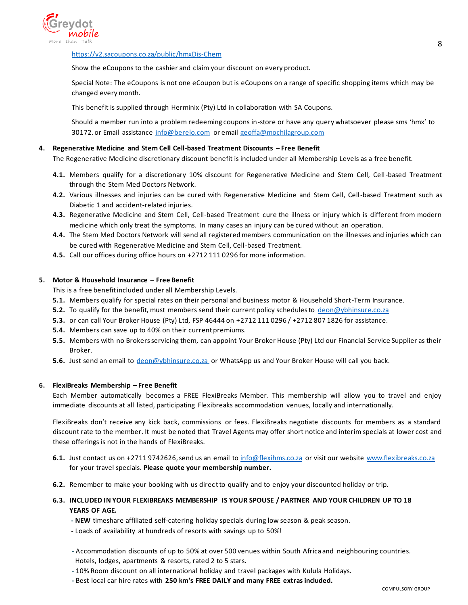

### <https://v2.sacoupons.co.za/public/hmxDis-Chem>

Show the eCoupons to the cashier and claim your discount on every product.

Special Note: The eCoupons is not one eCoupon but is eCoupons on a range of specific shopping items which may be changed every month.

This benefit is supplied through Herminix (Pty) Ltd in collaboration with SA Coupons.

Should a member run into a problem redeeming coupons in-store or have any query whatsoever please sms 'hmx' to 30172. or Email assistance [info@berelo.com](mailto:info@berelo.com) or email [geoffa@mochilagroup.com](mailto:geoffa@mochilagroup.com)

### **4. Regenerative Medicine and Stem Cell Cell-based Treatment Discounts – Free Benefit**

<span id="page-7-0"></span>The Regenerative Medicine discretionary discount benefit is included under all Membership Levels as a free benefit.

- **4.1.** Members qualify for a discretionary 10% discount for Regenerative Medicine and Stem Cell, Cell-based Treatment through the Stem Med Doctors Network.
- **4.2.** Various illnesses and injuries can be cured with Regenerative Medicine and Stem Cell, Cell-based Treatment such as Diabetic 1 and accident-related injuries.
- **4.3.** Regenerative Medicine and Stem Cell, Cell-based Treatment cure the illness or injury which is different from modern medicine which only treat the symptoms. In many cases an injury can be cured without an operation.
- **4.4.** The Stem Med Doctors Network will send all registered members communication on the illnesses and injuries which can be cured with Regenerative Medicine and Stem Cell, Cell-based Treatment.
- **4.5.** Call our offices during office hours on +2712 111 0296 for more information.

### <span id="page-7-1"></span>**5. Motor & Household Insurance – Free Benefit**

This is a free benefit included under all Membership Levels.

- **5.1.** Members qualify for special rates on their personal and business motor & Household Short-Term Insurance.
- **5.2.** To qualify for the benefit, must members send their current policy schedules to [deon@ybhinsure.co.za](mailto:deon@ybhinsure.co.za)
- **5.3.** or can call Your Broker House (Pty) Ltd, FSP 46444 on +2712 111 0296 / +2712 807 1826 for assistance.
- **5.4.** Members can save up to 40% on their current premiums.
- **5.5.** Members with no Brokers servicing them, can appoint Your Broker House (Pty) Ltd our Financial Service Supplier as their Broker.
- **5.6.** Just send an email to [deon@ybhinsure.co.za](mailto:deon@ybhinsure.co.za) or WhatsApp us and Your Broker House will call you back.

#### <span id="page-7-2"></span>**6. FlexiBreaks Membership – Free Benefit**

Each Member automatically becomes a FREE FlexiBreaks Member. This membership will allow you to travel and enjoy immediate discounts at all listed, participating Flexibreaks accommodation venues, locally and internationally.

FlexiBreaks don't receive any kick back, commissions or fees. FlexiBreaks negotiate discounts for members as a standard discount rate to the member. It must be noted that Travel Agents may offer short notice and interim specials at lower cost and these offerings is not in the hands of FlexiBreaks.

- **6.1.** Just contact us on +2711 9742626, send us an email t[o info@flexihms.co.za](mailto:info@flexihms.co.za) or visit our websit[e www.flexibreaks.co.za](http://www.flexibreaks.co.za/) for your travel specials. **Please quote your membership number.**
- **6.2.** Remember to make your booking with us direct to qualify and to enjoy your discounted holiday or trip.
- **6.3. INCLUDED IN YOUR FLEXIBREAKS MEMBERSHIP IS YOUR SPOUSE / PARTNER AND YOUR CHILDREN UP TO 18 YEARS OF AGE.**
	- **- NEW** timeshare affiliated self-catering holiday specials during low season & peak season.
	- Loads of availability at hundreds of resorts with savings up to 50%!
	- **-** Accommodation discounts of up to 50% at over 500 venues within South Africa and neighbouring countries. Hotels, lodges, apartments & resorts, rated 2 to 5 stars.
	- **-** 10% Room discount on all international holiday and travel packages with Kulula Holidays.
	- **-** Best local car hire rates with **250 km's FREE DAILY and many FREE extras included.**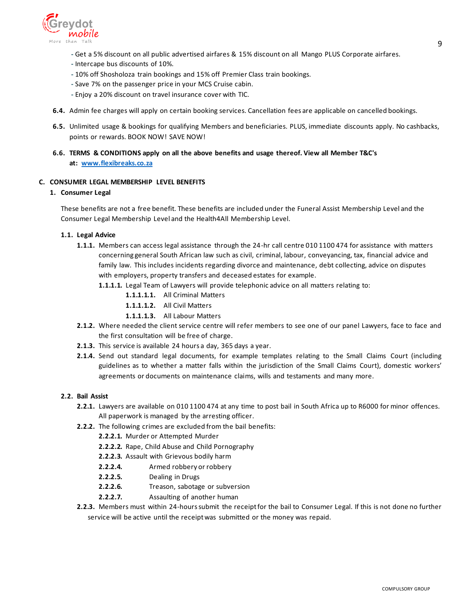

- **-** Get a 5% discount on all public advertised airfares & 15% discount on all Mango PLUS Corporate airfares.
- **-** Intercape bus discounts of 10%.
- **-** 10% off Shosholoza train bookings and 15% off Premier Class train bookings.
- **-** Save 7% on the passenger price in your MCS Cruise cabin.
- **-** Enjoy a 20% discount on travel insurance cover with TIC.
- **6.4.** Admin fee charges will apply on certain booking services. Cancellation fees are applicable on cancelled bookings.
- **6.5.** Unlimited usage & bookings for qualifying Members and beneficiaries. PLUS, immediate discounts apply. No cashbacks, points or rewards. BOOK NOW! SAVE NOW!
- **6.6. TERMS & CONDITIONS apply on all the above benefits and usage thereof. View all Member T&C's at: [www.flexibreaks.co.za](http://www.flexibreaks.co.za/)**

#### <span id="page-8-0"></span>**C. CONSUMER LEGAL MEMBERSHIP LEVEL BENEFITS**

### **1. Consumer Legal**

These benefits are not a free benefit. These benefits are included under the Funeral Assist Membership Level and the Consumer Legal Membership Level and the Health4All Membership Level.

#### **1.1. Legal Advice**

**1.1.1.** Members can access legal assistance through the 24-hr call centre 010 1100 474 for assistance with matters concerning general South African law such as civil, criminal, labour, conveyancing, tax, financial advice and family law. This includes incidents regarding divorce and maintenance, debt collecting, advice on disputes with employers, property transfers and deceased estates for example.

**1.1.1.1.** Legal Team of Lawyers will provide telephonic advice on all matters relating to:

- **1.1.1.1.1.** All Criminal Matters
- **1.1.1.1.2.** All Civil Matters
- **1.1.1.1.3.** All Labour Matters
- **2.1.2.** Where needed the client service centre will refer members to see one of our panel Lawyers, face to face and the first consultation will be free of charge.
- **2.1.3.** This service is available 24 hours a day, 365 days a year.
- **2.1.4.** Send out standard legal documents, for example templates relating to the Small Claims Court (including guidelines as to whether a matter falls within the jurisdiction of the Small Claims Court), domestic workers' agreements or documents on maintenance claims, wills and testaments and many more.

#### **2.2. Bail Assist**

- **2.2.1.** Lawyers are available on 010 1100 474 at any time to post bail in South Africa up to R6000 for minor offences. All paperwork is managed by the arresting officer.
- **2.2.2.** The following crimes are excluded from the bail benefits:
	- **2.2.2.1.** Murder or Attempted Murder
	- **2.2.2.2.** Rape, Child Abuse and Child Pornography
	- **2.2.2.3.** Assault with Grievous bodily harm
	- **2.2.2.4.** Armed robbery or robbery
	- **2.2.2.5.** Dealing in Drugs
	- **2.2.2.6.** Treason, sabotage or subversion
	- **2.2.2.7.** Assaulting of another human
- **2.2.3.** Members must within 24-hours submit the receipt for the bail to Consumer Legal. If this is not done no further service will be active until the receipt was submitted or the money was repaid.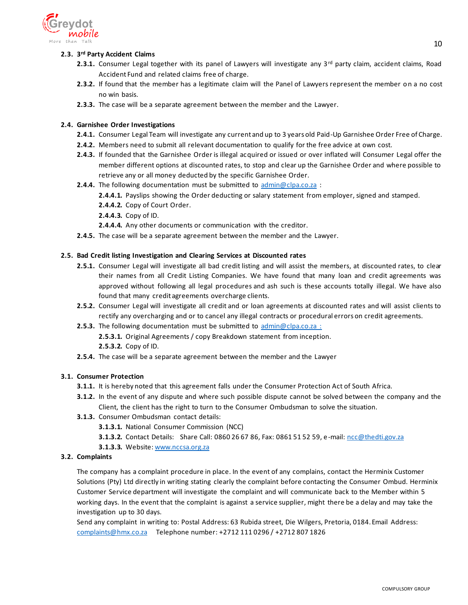

# **2.3. 3 rd Party Accident Claims**

- **2.3.1.** Consumer Legal together with its panel of Lawyers will investigate any 3<sup>rd</sup> party claim, accident claims, Road Accident Fund and related claims free of charge.
- **2.3.2.** If found that the member has a legitimate claim will the Panel of Lawyers represent the member on a no cost no win basis.
- **2.3.3.** The case will be a separate agreement between the member and the Lawyer.

## **2.4. Garnishee Order Investigations**

- **2.4.1.** Consumer Legal Team will investigate any current and up to 3 years old Paid-Up Garnishee Order Free of Charge.
- **2.4.2.** Members need to submit all relevant documentation to qualify for the free advice at own cost.
- **2.4.3.** If founded that the Garnishee Order is illegal acquired or issued or over inflated will Consumer Legal offer the member different options at discounted rates, to stop and clear up the Garnishee Order and where possible to retrieve any or all money deducted by the specific Garnishee Order.
- **2.4.4.** The following documentation must be submitted to [admin@clpa.co.za](mailto:admin@clpa.co.za) :
	- **2.4.4.1.** Payslips showing the Order deducting or salary statement from employer, signed and stamped.
	- **2.4.4.2.** Copy of Court Order.
	- **2.4.4.3.** Copy of ID.
	- **2.4.4.4.** Any other documents or communication with the creditor.
- **2.4.5.** The case will be a separate agreement between the member and the Lawyer.

## **2.5. Bad Credit listing Investigation and Clearing Services at Discounted rates**

- **2.5.1.** Consumer Legal will investigate all bad credit listing and will assist the members, at discounted rates, to clear their names from all Credit Listing Companies. We have found that many loan and credit agreements was approved without following all legal procedures and ash such is these accounts totally illegal. We have also found that many credit agreements overcharge clients.
- **2.5.2.** Consumer Legal will investigate all credit and or loan agreements at discounted rates and will assist clients to rectify any overcharging and or to cancel any illegal contracts or procedural errors on credit agreements.
- **2.5.3.** The following documentation must be submitted to [admin@clpa.co.za](mailto:admin@clpa.co.za) : **2.5.3.1.** Original Agreements / copy Breakdown statement from inception. **2.5.3.2.** Copy of ID.
- **2.5.4.** The case will be a separate agreement between the member and the Lawyer

## **3.1. Consumer Protection**

- **3.1.1.** It is hereby noted that this agreement falls under the Consumer Protection Act of South Africa.
- **3.1.2.** In the event of any dispute and where such possible dispute cannot be solved between the company and the Client, the client has the right to turn to the Consumer Ombudsman to solve the situation.
- **3.1.3.** Consumer Ombudsman contact details:

**3.1.3.1.** National Consumer Commission (NCC)

- **3.1.3.2.** Contact Details: Share Call: 0860 26 67 86, Fax: 0861 51 52 59, e-mail: [ncc@thedti.gov.za](mailto:ncc@thedti.gov.za)
- **3.1.3.3.** Website: [www.nccsa.org.za](http://www.nccsa.org.za/)

## **3.2. Complaints**

The company has a complaint procedure in place. In the event of any complains, contact the Herminix Customer Solutions (Pty) Ltd directly in writing stating clearly the complaint before contacting the Consumer Ombud. Herminix Customer Service department will investigate the complaint and will communicate back to the Member within 5 working days. In the event that the complaint is against a service supplier, might there be a delay and may take the investigation up to 30 days.

Send any complaint in writing to: Postal Address: 63 Rubida street, Die Wilgers, Pretoria, 0184. Email Address: [complaints@hmx.co.za](mailto:complaints@hmx.co.za) Telephone number: +2712 111 0296 / +2712 807 1826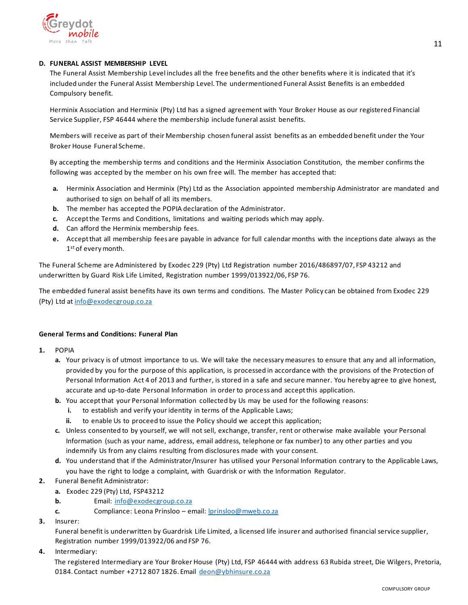

## <span id="page-10-0"></span>**D. FUNERAL ASSIST MEMBERSHIP LEVEL**

The Funeral Assist Membership Level includes all the free benefits and the other benefits where it is indicated that it's included under the Funeral Assist Membership Level. The undermentioned Funeral Assist Benefits is an embedded Compulsory benefit.

Herminix Association and Herminix (Pty) Ltd has a signed agreement with Your Broker House as our registered Financial Service Supplier, FSP 46444 where the membership include funeral assist benefits.

Members will receive as part of their Membership chosen funeral assist benefits as an embedded benefit under the Your Broker House Funeral Scheme.

By accepting the membership terms and conditions and the Herminix Association Constitution, the member confirms the following was accepted by the member on his own free will. The member has accepted that:

- **a.** Herminix Association and Herminix (Pty) Ltd as the Association appointed membership Administrator are mandated and authorised to sign on behalf of all its members.
- **b.** The member has accepted the POPIA declaration of the Administrator.
- **c.** Accept the Terms and Conditions, limitations and waiting periods which may apply.
- **d.** Can afford the Herminix membership fees.
- **e.** Accept that all membership fees are payable in advance for full calendar months with the inceptions date always as the 1<sup>st</sup> of every month.

The Funeral Scheme are Administered by Exodec 229 (Pty) Ltd Registration number 2016/486897/07, FSP 43212 and underwritten by Guard Risk Life Limited, Registration number 1999/013922/06, FSP 76.

The embedded funeral assist benefits have its own terms and conditions. The Master Policy can be obtained from Exodec 229 (Pty) Ltd at [info@exodecgroup.co.za](mailto:info@exodecgroup.co.za)

## **General Terms and Conditions: Funeral Plan**

- **1.** POPIA
	- **a.** Your privacy is of utmost importance to us. We will take the necessary measures to ensure that any and all information, provided by you for the purpose of this application, is processed in accordance with the provisions of the Protection of Personal Information Act 4 of 2013 and further, is stored in a safe and secure manner. You hereby agree to give honest, accurate and up-to-date Personal Information in order to process and accept this application.
	- **b.** You accept that your Personal Information collected by Us may be used for the following reasons:
		- to establish and verify your identity in terms of the Applicable Laws;
		- **ii.** to enable Us to proceed to issue the Policy should we accept this application;
	- **c.** Unless consented to by yourself, we will not sell, exchange, transfer, rent or otherwise make available your Personal Information (such as your name, address, email address, telephone or fax number) to any other parties and you indemnify Us from any claims resulting from disclosures made with your consent.
	- **d.** You understand that if the Administrator/Insurer has utilised your Personal Information contrary to the Applicable Laws, you have the right to lodge a complaint, with Guardrisk or with the Information Regulator.
- **2.** Funeral Benefit Administrator:
	- **a.** Exodec 229 (Pty) Ltd, FSP43212
	- **b.** Email: [info@exodecgroup.co.za](mailto:info@exodecgroup.co.za)
	- **c.** Compliance: Leona Prinsloo email: <u>Iprinsloo@mweb.co.za</u>
- **3.** Insurer:

Funeral benefit is underwritten by Guardrisk Life Limited, a licensed life insurer and authorised financial service supplier, Registration number 1999/013922/06 and FSP 76.

**4.** Intermediary:

 The registered Intermediary are Your Broker House (Pty) Ltd, FSP 46444 with address 63 Rubida street, Die Wilgers, Pretoria, 0184. Contact number +2712 807 1826. Email [deon@ybhinsure.co.za](mailto:deon@ybhinsure.co.za)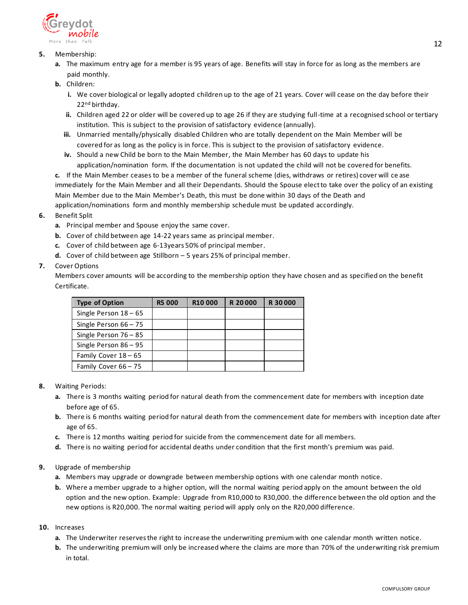

# **5.** Membership:

- **a.** The maximum entry age for a member is 95 years of age. Benefits will stay in force for as long as the members are paid monthly.
- **b.** Children:
	- **i.** We cover biological or legally adopted children up to the age of 21 years. Cover will cease on the day before their 22<sup>nd</sup> birthday.
	- **ii.** Children aged 22 or older will be covered up to age 26 if they are studying full-time at a recognised school or tertiary institution. This is subject to the provision of satisfactory evidence (annually).
	- **iii.** Unmarried mentally/physically disabled Children who are totally dependent on the Main Member will be covered for as long as the policy is in force. This is subject to the provision of satisfactory evidence.
	- **iv.** Should a new Child be born to the Main Member, the Main Member has 60 days to update his application/nomination form. If the documentation is not updated the child will not be covered for benefits.

**c.** If the Main Member ceases to be a member of the funeral scheme (dies, withdraws or retires) cover will ce ase immediately for the Main Member and all their Dependants. Should the Spouse elect to take over the policy of an existing Main Member due to the Main Member's Death, this must be done within 30 days of the Death and application/nominations form and monthly membership schedule must be updated accordingly.

- **6.** Benefit Split
	- **a.** Principal member and Spouse enjoy the same cover.
	- **b.** Cover of child between age 14-22 years same as principal member.
	- **c.** Cover of child between age 6-13years 50% of principal member.
	- **d.** Cover of child between age Stillborn 5 years 25% of principal member.

## **7.** Cover Options

Members cover amounts will be according to the membership option they have chosen and as specified on the benefit Certificate.

| <b>Type of Option</b>   | <b>R5 000</b> | R <sub>10</sub> 000 | R 20000 | R 30000 |
|-------------------------|---------------|---------------------|---------|---------|
| Single Person $18 - 65$ |               |                     |         |         |
| Single Person $66 - 75$ |               |                     |         |         |
| Single Person $76 - 85$ |               |                     |         |         |
| Single Person $86 - 95$ |               |                     |         |         |
| Family Cover 18 - 65    |               |                     |         |         |
| Family Cover 66 - 75    |               |                     |         |         |

- **8.** Waiting Periods:
	- **a.** There is 3 months waiting period for natural death from the commencement date for members with inception date before age of 65.
	- **b.** There is 6 months waiting period for natural death from the commencement date for members with inception date after age of 65.
	- **c.** There is 12 months waiting period for suicide from the commencement date for all members.
	- **d.** There is no waiting period for accidental deaths under condition that the first month's premium was paid.

# **9.** Upgrade of membership

- **a.** Members may upgrade or downgrade between membership options with one calendar month notice.
- **b.** Where a member upgrade to a higher option, will the normal waiting period apply on the amount between the old option and the new option. Example: Upgrade from R10,000 to R30,000. the difference between the old option and the new options is R20,000. The normal waiting period will apply only on the R20,000 difference.

## **10.** Increases

- **a.** The Underwriter reserves the right to increase the underwriting premium with one calendar month written notice.
- **b.** The underwriting premium will only be increased where the claims are more than 70% of the underwriting risk premium in total.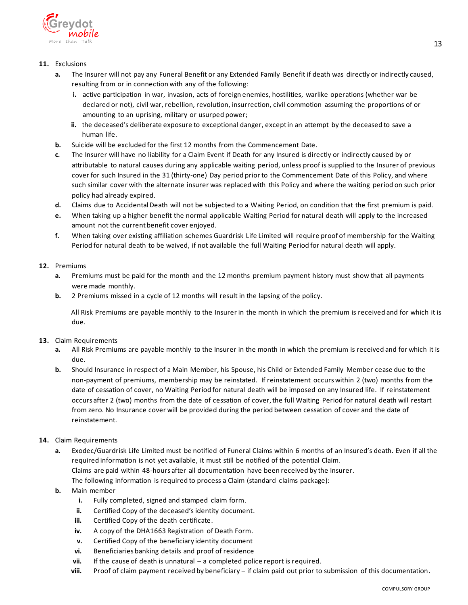

## **11.** Exclusions

- **a.** The Insurer will not pay any Funeral Benefit or any Extended Family Benefit if death was directly or indirectly caused, resulting from or in connection with any of the following:
	- **i.** active participation in war, invasion, acts of foreign enemies, hostilities, warlike operations (whether war be declared or not), civil war, rebellion, revolution, insurrection, civil commotion assuming the proportions of or amounting to an uprising, military or usurped power;
	- **ii.** the deceased's deliberate exposure to exceptional danger, except in an attempt by the deceased to save a human life.
- **b.** Suicide will be excluded for the first 12 months from the Commencement Date.
- **c.** The Insurer will have no liability for a Claim Event if Death for any Insured is directly or indirectly caused by or attributable to natural causes during any applicable waiting period, unless proof is supplied to the Insurer of previous cover for such Insured in the 31 (thirty-one) Day period prior to the Commencement Date of this Policy, and where such similar cover with the alternate insurer was replaced with this Policy and where the waiting period on such prior policy had already expired.
- **d.** Claims due to Accidental Death will not be subjected to a Waiting Period, on condition that the first premium is paid.
- **e.** When taking up a higher benefit the normal applicable Waiting Period for natural death will apply to the increased amount not the current benefit cover enjoyed.
- **f.** When taking over existing affiliation schemes Guardrisk Life Limited will require proof of membership for the Waiting Period for natural death to be waived, if not available the full Waiting Period for natural death will apply.

## **12.** Premiums

- **a.** Premiums must be paid for the month and the 12 months premium payment history must show that all payments were made monthly.
- **b.** 2 Premiums missed in a cycle of 12 months will result in the lapsing of the policy.

 All Risk Premiums are payable monthly to the Insurer in the month in which the premium is received and for which it is due.

## **13.** Claim Requirements

- **a.** All Risk Premiums are payable monthly to the Insurer in the month in which the premium is received and for which it is due.
- **b.** Should Insurance in respect of a Main Member, his Spouse, his Child or Extended Family Member cease due to the non-payment of premiums, membership may be reinstated. If reinstatement occurs within 2 (two) months from the date of cessation of cover, no Waiting Period for natural death will be imposed on any Insured life. If reinstatement occurs after 2 (two) months from the date of cessation of cover, the full Waiting Period for natural death will restart from zero. No Insurance cover will be provided during the period between cessation of cover and the date of reinstatement.

## **14.** Claim Requirements

- **a.** Exodec/Guardrisk Life Limited must be notified of Funeral Claims within 6 months of an Insured's death. Even if all the required information is not yet available, it must still be notified of the potential Claim. Claims are paid within 48-hours after all documentation have been received by the Insurer. The following information is required to process a Claim (standard claims package):
- **b.** Main member
	- **i.** Fully completed, signed and stamped claim form.
	- **ii.** Certified Copy of the deceased's identity document.
	- **iii.** Certified Copy of the death certificate.
	- **iv.** A copy of the DHA1663 Registration of Death Form.
	- **v.** Certified Copy of the beneficiary identity document
	- **vi.** Beneficiaries banking details and proof of residence
	- **vii.** If the cause of death is unnatural a completed police report is required.
	- **viii.** Proof of claim payment received by beneficiary if claim paid out prior to submission of this documentation.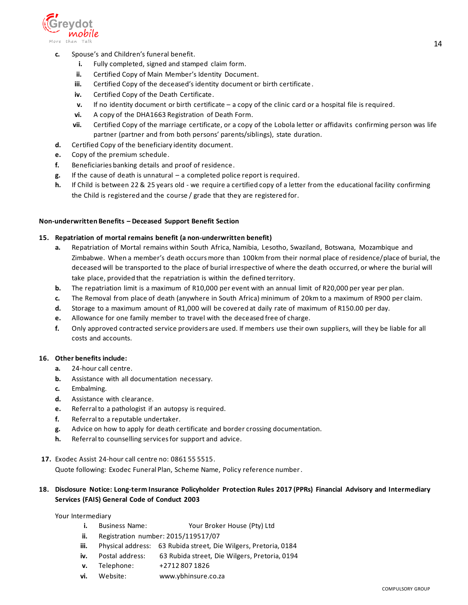

- **c.** Spouse's and Children's funeral benefit.
	- **i.** Fully completed, signed and stamped claim form.
	- **ii.** Certified Copy of Main Member's Identity Document.
	- **iii.** Certified Copy of the deceased's identity document or birth certificate .
	- **iv.** Certified Copy of the Death Certificate.
	- **v.** If no identity document or birth certificate a copy of the clinic card or a hospital file is required.
	- **vi.** A copy of the DHA1663 Registration of Death Form.
	- **vii.** Certified Copy of the marriage certificate, or a copy of the Lobola letter or affidavits confirming person was life partner (partner and from both persons' parents/siblings), state duration.
- **d.** Certified Copy of the beneficiary identity document.
- **e.** Copy of the premium schedule.
- **f.** Beneficiaries banking details and proof of residence.
- **g.** If the cause of death is unnatural a completed police report is required.
- **h.** If Child is between 22 & 25 years old we require a certified copy of a letter from the educational facility confirming the Child is registered and the course / grade that they are registered for.

### **Non-underwritten Benefits – Deceased Support Benefit Section**

### **15. Repatriation of mortal remains benefit (a non-underwritten benefit)**

- **a.** Repatriation of Mortal remains within South Africa, Namibia, Lesotho, Swaziland, Botswana, Mozambique and Zimbabwe. When a member's death occurs more than 100km from their normal place of residence/place of burial, the deceased will be transported to the place of burial irrespective of where the death occurred, or where the burial will take place, provided that the repatriation is within the defined territory.
- **b.** The repatriation limit is a maximum of R10,000 per event with an annual limit of R20,000 per year per plan.
- **c.** The Removal from place of death (anywhere in South Africa) minimum of 20km to a maximum of R900 per claim.
- **d.** Storage to a maximum amount of R1,000 will be covered at daily rate of maximum of R150.00 per day.
- **e.** Allowance for one family member to travel with the deceased free of charge.
- **f.** Only approved contracted service providers are used. If members use their own suppliers, will they be liable for all costs and accounts.

#### **16. Other benefits include:**

- **a.** 24-hour call centre.
- **b.** Assistance with all documentation necessary.
- **c.** Embalming.
- **d.** Assistance with clearance.
- **e.** Referral to a pathologist if an autopsy is required.
- **f.** Referral to a reputable undertaker.
- **g.** Advice on how to apply for death certificate and border crossing documentation.
- **h.** Referral to counselling services for support and advice.
- **17.** Exodec Assist 24-hour call centre no: 0861 55 5515.

Quote following: Exodec Funeral Plan, Scheme Name, Policy reference number.

## **18. Disclosure Notice: Long-term Insurance Policyholder Protection Rules 2017 (PPRs) Financial Advisory and Intermediary Services (FAIS) General Code of Conduct 2003**

Your Intermediary

- **i.** Business Name: Your Broker House (Pty) Ltd
- **ii.** Registration number: 2015/119517/07
- **iii.** Physical address: 63 Rubida street, Die Wilgers, Pretoria, 0184
- **iv.** Postal address: 63 Rubida street, Die Wilgers, Pretoria, 0194
- **v.** Telephone: +2712 807 1826
- **vi.** Website: www.ybhinsure.co.za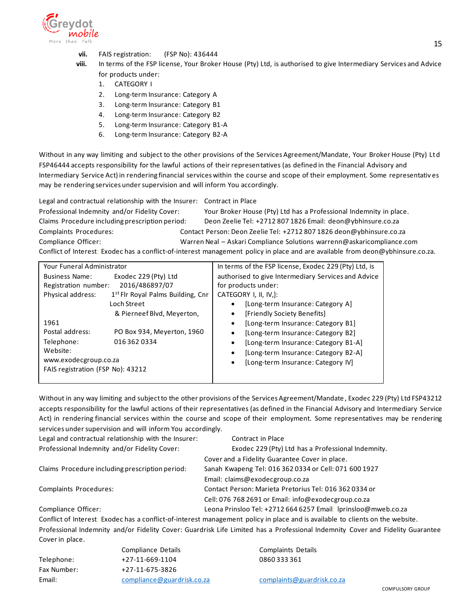

- **vii.** FAIS registration: (FSP No): 436444
- **viii.** In terms of the FSP license, Your Broker House (Pty) Ltd, is authorised to give Intermediary Services and Advice for products under:
	- 1. CATEGORY I
	- 2. Long-term Insurance: Category A
	- 3. Long-term Insurance: Category B1
	- 4. Long-term Insurance: Category B2
	- 5. Long-term Insurance: Category B1-A
	- 6. Long-term Insurance: Category B2-A

Without in any way limiting and subject to the other provisions of the Services Agreement/Mandate, Your Broker House (Pty) Ltd FSP46444 accepts responsibility for the lawful actions of their representatives (as defined in the Financial Advisory and Intermediary Service Act) in rendering financial services within the course and scope of their employment. Some representativ es may be rendering services under supervision and will inform You accordingly.

Legal and contractual relationship with the Insurer: Contract in Place

Professional Indemnity and/or Fidelity Cover: Your Broker House (Pty) Ltd has a Professional Indemnity in place. Claims Procedure including prescription period: Deon Zeelie Tel: +2712 807 1826 Email: deon@ybhinsure.co.za Complaints Procedures: Contact Person: Deon Zeelie Tel: +2712 807 1826 deon@ybhinsure.co.za Compliance Officer: Warren Neal – Askari Compliance Solutions warrenn@askaricompliance.com Conflict of Interest: Exodec has a conflict-of-interest management policy in place and are available from deon@ybhinsure.co.za.

| Your Funeral Administrator                                                                                                                                                                | In terms of the FSP license, Exodec 229 (Pty) Ltd, is                                                                                                                                                                                                                                               |  |  |
|-------------------------------------------------------------------------------------------------------------------------------------------------------------------------------------------|-----------------------------------------------------------------------------------------------------------------------------------------------------------------------------------------------------------------------------------------------------------------------------------------------------|--|--|
| Exodec 229 (Pty) Ltd<br><b>Business Name:</b><br>2016/486897/07<br>Registration number:<br>1 <sup>st</sup> Flr Royal Palms Building, Cnr<br>Physical address:<br>Loch Street              | authorised to give Intermediary Services and Advice<br>for products under:<br>CATEGORY I, II, IV,]:<br>[Long-term Insurance: Category A]                                                                                                                                                            |  |  |
| & Pierneef Blvd, Meyerton,<br>1961<br>Postal address:<br>PO Box 934, Meyerton, 1960<br>Telephone:<br>0163620334<br>Website:<br>www.exodecgroup.co.za<br>FAIS registration (FSP No): 43212 | [Friendly Society Benefits]<br>$\bullet$<br>[Long-term Insurance: Category B1]<br>$\bullet$<br>[Long-term Insurance: Category B2]<br>٠<br>[Long-term Insurance: Category B1-A]<br>$\bullet$<br>[Long-term Insurance: Category B2-A]<br>$\bullet$<br>[Long-term Insurance: Category IV]<br>$\bullet$ |  |  |

Without in any way limiting and subject to the other provisions of the Services Agreement/Mandate , Exodec 229 (Pty) Ltd FSP43212 accepts responsibility for the lawful actions of their representatives (as defined in the Financial Advisory and Intermediary Service Act) in rendering financial services within the course and scope of their employment. Some representatives may be rendering services under supervision and will inform You accordingly.

| Legal and contractual relationship with the Insurer: | Contract in Place                                              |
|------------------------------------------------------|----------------------------------------------------------------|
| Professional Indemnity and/or Fidelity Cover:        | Exodec 229 (Pty) Ltd has a Professional Indemnity.             |
|                                                      | Cover and a Fidelity Guarantee Cover in place.                 |
| Claims Procedure including prescription period:      | Sanah Kwapeng Tel: 016 362 0334 or Cell: 071 600 1927          |
|                                                      | Email: claims@exodecgroup.co.za                                |
| Complaints Procedures:                               | Contact Person: Marieta Pretorius Tel: 016 362 0334 or         |
|                                                      | Cell: 076 768 2691 or Email: info@exodecgroup.co.za            |
| Compliance Officer:                                  | Leona Prinsloo Tel: +2712 664 6257 Email: Iprinsloo@mweb.co.za |

Conflict of Interest: Exodec has a conflict-of-interest management policy in place and is available to clients on the website. Professional Indemnity and/or Fidelity Cover: Guardrisk Life Limited has a Professional Indemnity Cover and Fidelity Guarantee Cover in place.

|             | Compliance Details  |
|-------------|---------------------|
| Telephone:  | $+27-11-669-1104$   |
| Fax Number: | +27-11-675-3826     |
| Email:      | compliance@guardris |
|             |                     |

Complaints Details 0860 333 361

Email: [complaints@guardrisk.co.za](mailto:complaints@guardrisk.co.za)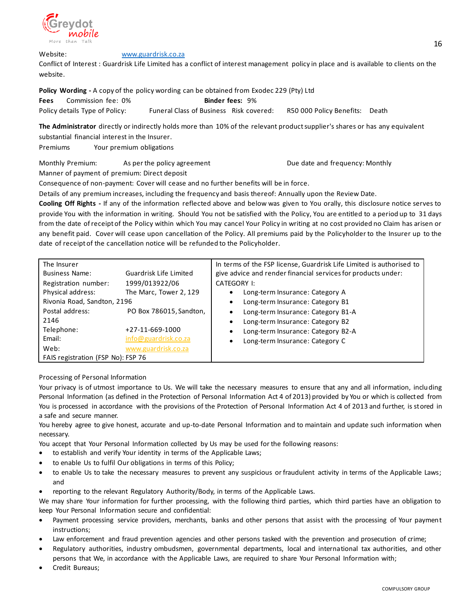

Website: [www.guardrisk.co.za](http://www.guardrisk.co.za/)

Conflict of Interest : Guardrisk Life Limited has a conflict of interest management policy in place and is available to clients on the website.

**Policy Wording -** A copy of the policy wording can be obtained from Exodec 229 (Pty) Ltd

**Fees** Commission fee: 0% **Binder fees: 9%** Policy details Type of Policy: Funeral Class of Business Risk covered: R50 000 Policy Benefits: Death

**The Administrator** directly or indirectly holds more than 10% of the relevant product supplier's shares or has any equivalent substantial financial interest in the Insurer.

Premiums Your premium obligations

Monthly Premium: As per the policy agreement and the Unit of the date and frequency: Monthly Manner of payment of premium: Direct deposit

Consequence of non-payment: Cover will cease and no further benefits will be in force.

Details of any premium increases, including the frequency and basis thereof: Annually upon the Review Date.

**Cooling Off Rights -** If any of the information reflected above and below was given to You orally, this disclosure notice serves to provide You with the information in writing. Should You not be satisfied with the Policy, You are entitled to a period up to 31 days from the date of receipt of the Policy within which You may cancel Your Policy in writing at no cost provided no Claim has arisen or any benefit paid. Cover will cease upon cancellation of the Policy. All premiums paid by the Policyholder to the Insurer up to the date of receipt of the cancellation notice will be refunded to the Policyholder.

| The Insurer                        |                         | In terms of the FSP license, Guardrisk Life Limited is authorised to |
|------------------------------------|-------------------------|----------------------------------------------------------------------|
| <b>Business Name:</b>              | Guardrisk Life Limited  | give advice and render financial services for products under:        |
| Registration number:               | 1999/013922/06          | CATEGORY I:                                                          |
| Physical address:                  | The Marc, Tower 2, 129  | Long-term Insurance: Category A                                      |
| Rivonia Road, Sandton, 2196        |                         | Long-term Insurance: Category B1                                     |
| Postal address:                    | PO Box 786015, Sandton, | Long-term Insurance: Category B1-A                                   |
| 2146                               |                         | Long-term Insurance: Category B2                                     |
| Telephone:                         | +27-11-669-1000         | Long-term Insurance: Category B2-A<br>$\bullet$                      |
| Email:                             | info@guardrisk.co.za    | Long-term Insurance: Category C                                      |
| Web:                               | www.guardrisk.co.za     |                                                                      |
| FAIS registration (FSP No): FSP 76 |                         |                                                                      |

Processing of Personal Information

Your privacy is of utmost importance to Us. We will take the necessary measures to ensure that any and all information, including Personal Information (as defined in the Protection of Personal Information Act 4 of 2013) provided by You or which is collected from You is processed in accordance with the provisions of the Protection of Personal Information Act 4 of 2013 and further, is stored in a safe and secure manner.

You hereby agree to give honest, accurate and up-to-date Personal Information and to maintain and update such information when necessary.

You accept that Your Personal Information collected by Us may be used for the following reasons:

- to establish and verify Your identity in terms of the Applicable Laws;
- to enable Us to fulfil Our obligations in terms of this Policy;
- to enable Us to take the necessary measures to prevent any suspicious or fraudulent activity in terms of the Applicable Laws; and
- reporting to the relevant Regulatory Authority/Body, in terms of the Applicable Laws.

We may share Your information for further processing, with the following third parties, which third parties have an obligation to keep Your Personal Information secure and confidential:

- Payment processing service providers, merchants, banks and other persons that assist with the processing of Your payment instructions;
- Law enforcement and fraud prevention agencies and other persons tasked with the prevention and prosecution of crime;
- Regulatory authorities, industry ombudsmen, governmental departments, local and international tax authorities, and other persons that We, in accordance with the Applicable Laws, are required to share Your Personal Information with;
- Credit Bureaus;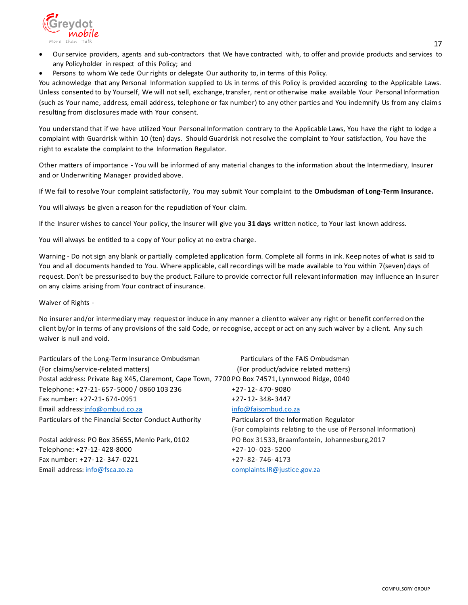

- Our service providers, agents and sub-contractors that We have contracted with, to offer and provide products and services to any Policyholder in respect of this Policy; and
- Persons to whom We cede Our rights or delegate Our authority to, in terms of this Policy.

You acknowledge that any Personal Information supplied to Us in terms of this Policy is provided according to the Applicable Laws. Unless consented to by Yourself, We will not sell, exchange, transfer, rent or otherwise make available Your Personal Information (such as Your name, address, email address, telephone or fax number) to any other parties and You indemnify Us from any claims resulting from disclosures made with Your consent.

You understand that if we have utilized Your Personal Information contrary to the Applicable Laws, You have the right to lodge a complaint with Guardrisk within 10 (ten) days. Should Guardrisk not resolve the complaint to Your satisfaction, You have the right to escalate the complaint to the Information Regulator.

Other matters of importance - You will be informed of any material changes to the information about the Intermediary, Insurer and or Underwriting Manager provided above.

If We fail to resolve Your complaint satisfactorily, You may submit Your complaint to the **Ombudsman of Long-Term Insurance.**

You will always be given a reason for the repudiation of Your claim.

If the Insurer wishes to cancel Your policy, the Insurer will give you **31 days** written notice, to Your last known address.

You will always be entitled to a copy of Your policy at no extra charge.

Warning - Do not sign any blank or partially completed application form. Complete all forms in ink. Keep notes of what is said to You and all documents handed to You. Where applicable, call recordings will be made available to You within 7(seven) days of request. Don't be pressurised to buy the product. Failure to provide correct or full relevant information may influence an In surer on any claims arising from Your contract of insurance.

Waiver of Rights -

No insurer and/or intermediary may request or induce in any manner a client to waiver any right or benefit conferred on the client by/or in terms of any provisions of the said Code, or recognise, accept or act on any such waiver by a client. Any su ch waiver is null and void.

| Particulars of the Long-Term Insurance Ombudsman                                               | Particulars of the FAIS Ombudsman                            |
|------------------------------------------------------------------------------------------------|--------------------------------------------------------------|
| (For claims/service-related matters)                                                           | (For product/advice related matters)                         |
| Postal address: Private Bag X45, Claremont, Cape Town, 7700 PO Box 74571, Lynnwood Ridge, 0040 |                                                              |
| Telephone: +27-21-657-5000 / 0860 103 236                                                      | +27-12-470-9080                                              |
| Fax number: +27-21-674-0951                                                                    | +27-12-348-3447                                              |
| Email address:info@ombud.co.za                                                                 | info@faisombud.co.za                                         |
| Particulars of the Financial Sector Conduct Authority                                          | Particulars of the Information Regulator                     |
|                                                                                                | (For complaints relating to the use of Personal Information) |
| Postal address: PO Box 35655, Menlo Park, 0102                                                 | PO Box 31533, Braamfontein, Johannesburg, 2017               |
| Telephone: +27-12-428-8000                                                                     | $+27 - 10 - 023 - 5200$                                      |
| Fax number: +27-12-347-0221                                                                    | $+27-82-746-4173$                                            |
| Email address: info@fsca.zo.za                                                                 | complaints.IR@justice.gov.za                                 |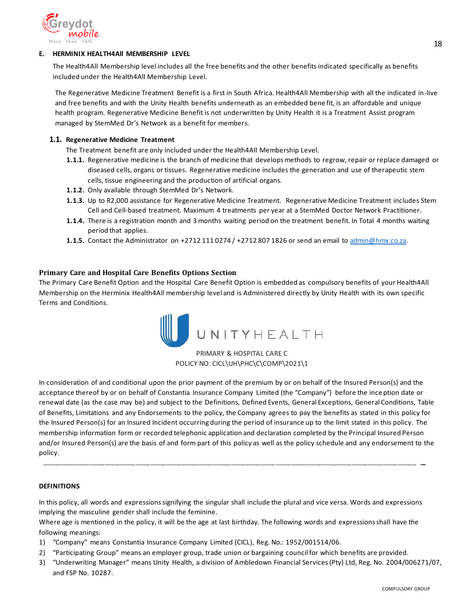

## <span id="page-17-0"></span>**E. HERMINIX HEALTH4All MEMBERSHIP LEVEL**

The Health4All Membership level includes all the free benefits and the other benefits indicated specifically as benefits included under the Health4All Membership Level.

The Regenerative Medicine Treatment Benefit is a first in South Africa. Health4All Membership with all the indicated in-live and free benefits and with the Unity Health benefits underneath as an embedded bene fit, is an affordable and unique health program. Regenerative Medicine Benefit is not underwritten by Unity Health it is a Treatment Assist program managed by StemMed Dr's Network as a benefit for members.

### **1.1. Regenerative Medicine Treatment**

The Treatment benefit are only included under the Health4All Membership Level.

- **1.1.1.** Regenerative medicine is the branch of medicine that develops methods to regrow, repair or replace damaged or diseased cells, organs or tissues. Regenerative medicine includes the generation and use of therapeutic stem cells, tissue engineering and the production of artificial organs.
- **1.1.2.** Only available through StemMed Dr's Network.
- **1.1.3.** Up to R2,000 assistance for Regenerative Medicine Treatment. Regenerative Medicine Treatment includes Stem Cell and Cell-based treatment. Maximum 4 treatments per year at a StemMed Doctor Network Practitioner.
- **1.1.4.** There is a registration month and 3 months waiting period on the treatment benefit. In Total 4 months waiting period that applies.
- **1.1.5.** Contact the Administrator on +2712 111 0274 / +2712 807 1826 or send an email t[o admin@hmx.co.za.](mailto:admin@hmx.co.za)

## <span id="page-17-1"></span>**Primary Care and Hospital Care Benefits Options Section**

The Primary Care Benefit Option and the Hospital Care Benefit Option is embedded as compulsory benefits of your Health4All Membership on the Herminix Health4All membership level and is Administered directly by Unity Health with its own specific Terms and Conditions.



## PRIMARY & HOSPITAL CARE C POLICY NO: CICL\UH\PHC\C\COMP\2021\1

In consideration of and conditional upon the prior payment of the premium by or on behalf of the Insured Person(s) and the acceptance thereof by or on behalf of Constantia Insurance Company Limited (the "Company") before the ince ption date or renewal date (as the case may be) and subject to the Definitions, Defined Events, General Exceptions, General Conditions, Table of Benefits, Limitations and any Endorsements to the policy, the Company agrees to pay the benefits as stated in this policy for the Insured Person(s) for an Insured Incident occurring during the period of insurance up to the limit stated in this policy. The membership information form or recorded telephonic application and declaration completed by the Principal Insured Person and/or Insured Person(s) are the basis of and form part of this policy as well as the policy schedule and any endorsement to the policy.

\_ \_ \_ \_ \_ \_ \_ \_ \_ \_ \_ \_\_ \_ \_ \_ \_ \_ \_ \_ \_ \_ \_ \_ \_\_ \_

#### **DEFINITIONS**

In this policy, all words and expressions signifying the singular shall include the plural and vice versa. Words and expressions implying the masculine gender shall include the feminine.

Where age is mentioned in the policy, it will be the age at last birthday. The following words and expressions shall have the following meanings:

- 1) "Company" means Constantia Insurance Company Limited (CICL), Reg. No.: 1952/001514/06.
- 2) "Participating Group" means an employer group, trade union or bargaining council for which benefits are provided.
- 3) "Underwriting Manager" means Unity Health, a division of Ambledown Financial Services(Pty) Ltd, Reg. No. 2004/006271/07, and FSP No. 10287.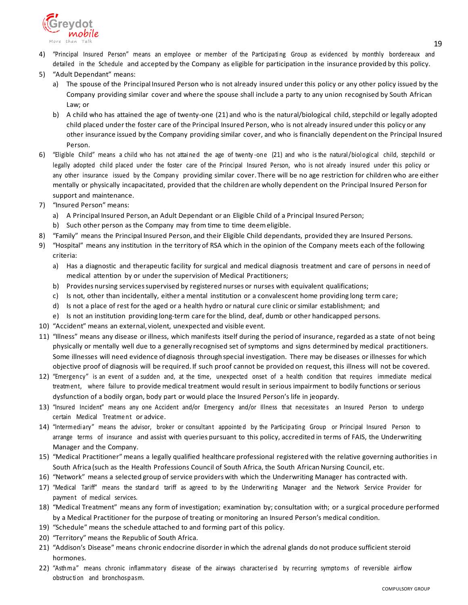

- 4) "Principal Insured Person" means an employee or member of the Participating Group as evidenced by monthly bordereaux and detailed in the Schedule and accepted by the Company as eligible for participation in the insurance provided by this policy.
- 5) "Adult Dependant" means:
	- a) The spouse of the Principal Insured Person who is not already insured under this policy or any other policy issued by the Company providing similar cover and where the spouse shall include a party to any union recognised by South African Law; or
	- b) A child who has attained the age of twenty-one (21) and who is the natural/biological child, stepchild or legally adopted child placed under the foster care of the Principal Insured Person, who is not already insured under this policy or any other insurance issued by the Company providing similar cover, and who is financially dependent on the Principal Insured Person.
- 6) "Eligible Child" means a child who has not attained the age of twenty-one (21) and who is the natural/biological child, stepchild or legally adopted child placed under the foster care of the Principal Insured Person, who is not already insured under this policy or any other insurance issued by the Company providing similar cover. There will be no age restriction for children who are either mentally or physically incapacitated, provided that the children are wholly dependent on the Principal Insured Person for support and maintenance.
- 7) "Insured Person" means:
	- a) A Principal Insured Person, an Adult Dependant or an Eligible Child of a Principal Insured Person;
	- b) Such other person as the Company may from time to time deemeligible.
- 8) "Family" means the Principal Insured Person, and their Eligible Child dependants, provided they are Insured Persons.
- 9) "Hospital" means any institution in the territory of RSA which in the opinion of the Company meets each ofthe following criteria:
	- a) Has a diagnostic and therapeutic facility for surgical and medical diagnosis treatment and care of persons in need of medical attention by or under the supervision of Medical Practitioners;
	- b) Provides nursing services supervised by registered nurses or nurses with equivalent qualifications;
	- c) Is not, other than incidentally, either a mental institution or a convalescent home providing long term care;
	- d) Is not a place of rest for the aged or a health hydro or natural cure clinic orsimilar establishment; and
	- e) Is not an institution providing long-term care for the blind, deaf, dumb or other handicapped persons.
- 10) "Accident" means an external, violent, unexpected and visible event.
- 11) "Illness" means any disease or illness, which manifests itself during the period of insurance, regarded as a state of not being physically or mentally well due to a generally recognised set of symptoms and signs determined by medical practitioners. Some illnesses will need evidence of diagnosis through special investigation. There may be diseases or illnesses for which objective proof of diagnosis will be required. If such proof cannot be provided on request, this illness will not be covered.
- 12) "Emergency" is an event of a sudden and, at the time, unexpected onset of a health condition that requires immediate medical treatment, where failure to provide medical treatment would result in serious impairment to bodily functions orserious dysfunction of a bodily organ, body part or would place the Insured Person's life in jeopardy.
- 13) "Insured Incident" means any one Accident and/or Emergency and/or Illness that necessitates an Insured Person to undergo certain Medical Treatme nt or advice.
- 14) "Intermediary" means the advisor, broker or consultant appointed by the Participating Group or Principal Insured Person to arrange terms of insurance and assist with queries pursuant to this policy, accredited in terms of FAIS, the Underwriting Manager and the Company.
- 15) "Medical Practitioner" means a legally qualified healthcare professional registered with the relative governing authorities i n South Africa (such as the Health Professions Council of South Africa, the South African Nursing Council, etc.
- 16) "Network" means a selected group of service providers with which the Underwriting Manager has contracted with.
- 17) "Medical Tariff" means the standard tariff as agreed to by the Underwriting Manager and the Network Service Provider for payment of medical services.
- 18) "Medical Treatment" means any form of investigation; examination by; consultation with; or a surgical procedure performed by a Medical Practitioner for the purpose of treating or monitoring an Insured Person's medical condition.
- 19) "Schedule" means the schedule attached to and forming part of this policy.
- 20) "Territory" means the Republic of South Africa.
- 21) "Addison's Disease" means chronic endocrine disorder in which the adrenal glands do not produce sufficient steroid hormones.
- 22) "Asthma" means chronic inflammatory disease of the airways characterised by recurring symptoms of reversible airflow obstruction and bronchospasm.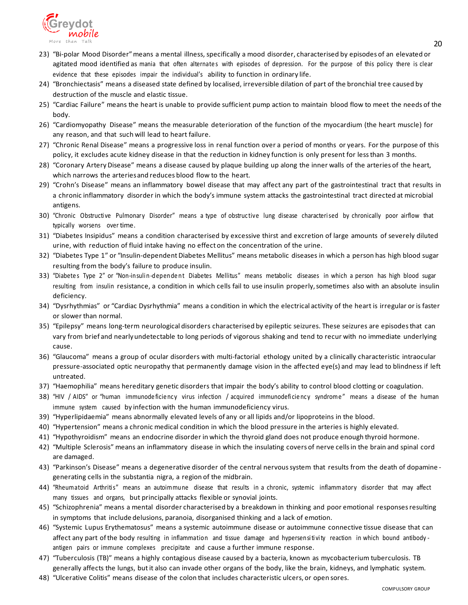

- 23) "Bi-polar Mood Disorder"means a mental illness, specifically a mood disorder, characterised by episodes of an elevated or agitated mood identified as mania that often alternates with episodes of depression. For the purpose of this policy there is clear evidence that these episodes impair the individual's ability to function in ordinary life.
- 24) "Bronchiectasis" means a diseased state defined by localised, irreversible dilation of part of the bronchial tree caused by destruction of the muscle and elastic tissue.
- 25) "Cardiac Failure" means the heart is unable to provide sufficient pump action to maintain blood flow to meet the needs of the body.
- 26) "Cardiomyopathy Disease" means the measurable deterioration of the function of the myocardium (the heart muscle) for any reason, and that such will lead to heart failure.
- 27) "Chronic Renal Disease" means a progressive loss in renal function over a period of months or years. For the purpose of this policy, it excludes acute kidney disease in that the reduction in kidney function is only present for lessthan 3 months.
- 28) "Coronary Artery Disease" means a disease caused by plaque building up along the inner walls of the arteries of the heart, which narrows the arteriesand reduces blood flow to the heart.
- 29) "Crohn's Disease" means an inflammatory bowel disease that may affect any part of the gastrointestinal tract that results in a chronic inflammatory disorder in which the body's immune system attacks the gastrointestinal tract directed at microbial antigens.
- 30) "Chronic Obstructive Pulmonary Disorder" means a type of obstructive lung disease characterised by chronically poor airflow that typically worsens over time.
- 31) "Diabetes Insipidus" means a condition characterised by excessive thirst and excretion of large amounts of severely diluted urine, with reduction of fluid intake having no effect on the concentration of the urine.
- 32) "Diabetes Type 1" or "Insulin-dependentDiabetes Mellitus" means metabolic diseases in which a person has high blood sugar resulting from the body's failure to produce insulin.
- 33) "Diabetes Type 2" or "Non-insulin-dependent Diabetes Mellitus" means metabolic diseases in which a person has high blood sugar resulting from insulin resistance, a condition in which cells fail to use insulin properly, sometimes also with an absolute insulin deficiency.
- 34) "Dysrhythmias" or "Cardiac Dysrhythmia" means a condition in which the electrical activity of the heart is irregular or is faster or slower than normal.
- 35) "Epilepsy" means long-term neurological disorders characterised by epileptic seizures. These seizures are episodes that can vary from brief and nearlyundetectable to long periods of vigorous shaking and tend to recur with no immediate underlying cause.
- 36) "Glaucoma" means a group of ocular disorders with multi-factorial ethology united by a clinically characteristic intraocular pressure-associated optic neuropathy that permanently damage vision in the affected eye(s) and may lead to blindness if left untreated.
- 37) "Haemophilia" means hereditary genetic disorders that impair the body's ability to control blood clotting or coagulation.
- 38) "HIV / AIDS" or "human immunodeficiency virus infection / acquired immunodeficiency syndrome" means a disease of the human immune system caused by infection with the human immunodeficiency virus.
- 39) "Hyperlipidaemia" means abnormally elevated levels of any or all lipids and/or lipoproteins in the blood.
- 40) "Hypertension" means a chronic medical condition in which the blood pressure in the arteries is highly elevated.
- 41) "Hypothyroidism" means an endocrine disorder in which the thyroid gland does not produce enough thyroid hormone.
- 42) "Multiple Sclerosis" means an inflammatory disease in which the insulating covers of nerve cellsin the brain and spinal cord are damaged.
- 43) "Parkinson's Disease" means a degenerative disorder of the central nervous system that results from the death of dopamine generating cells in the substantia nigra, a region of the midbrain.
- 44) "Rheumatoid Arthritis" means an autoimmune disease that results in a chronic, systemic inflammatory disorder that may affect many tissues and organs, but principally attacks flexible or synovial joints.
- 45) "Schizophrenia" means a mental disorder characterised by a breakdown in thinking and poor emotional responses resulting in symptoms that include delusions, paranoia, disorganised thinking and a lack of emotion.
- 46) "Systemic Lupus Erythematosus" means a systemic autoimmune disease or autoimmune connective tissue disease that can affect any part of the body resulting in inflammation and tissue damage and hypersensitivity reaction in which bound antibody antigen pairs or immune complexes precipitate and cause a further immune response.
- 47) "Tuberculosis (TB)" means a highly contagious disease caused by a bacteria, known as mycobacterium tuberculosis. TB generally affects the lungs, butit also can invade other organs of the body, like the brain, kidneys, and lymphatic system.
- 48) "Ulcerative Colitis" means disease of the colon that includes characteristic ulcers, or open sores.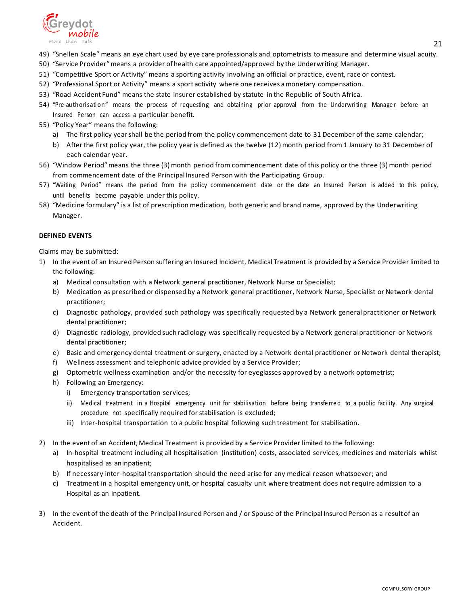

- 49) "Snellen Scale" means an eye chart used by eye care professionals and optometrists to measure and determine visual acuity.
- 50) "Service Provider"means a provider of health care appointed/approved by the Underwriting Manager.
- 51) "Competitive Sport or Activity" means a sporting activity involving an official or practice, event, race or contest.
- 52) "Professional Sport or Activity" means a sport activity where one receives amonetary compensation.
- 53) "Road Accident Fund" means the state insurer established by statute in the Republic of South Africa.
- 54) "Pre-authorisation" means the process of requesting and obtaining prior approval from the Underwriting Manager before an Insured Person can access a particular benefit.
- 55) "Policy Year" means the following:
	- a) The first policy year shall be the period from the policy commencement date to 31 December of the same calendar;
	- b) After the first policy year, the policy year is defined as the twelve (12) month period from 1 January to 31 December of each calendar year.
- 56) "Window Period"means the three (3) month period from commencement date of this policy or the three (3) month period from commencement date of the Principal Insured Person with the Participating Group.
- 57) "Waiting Period" means the period from the policy commence ment date or the date an Insured Person is added to this policy, until benefits become payable under this policy.
- 58) "Medicine formulary" is a list of prescription medication, both generic and brand name, approved by the Underwriting Manager.

#### **DEFINED EVENTS**

Claims may be submitted:

- 1) In the event of an Insured Person suffering an Insured Incident, Medical Treatment is provided by a Service Provider limited to the following:
	- a) Medical consultation with a Network general practitioner, Network Nurse or Specialist;
	- b) Medication as prescribed or dispensed by a Network general practitioner, Network Nurse, Specialist or Network dental practitioner;
	- c) Diagnostic pathology, provided such pathology was specifically requested by a Network general practitioner or Network dental practitioner;
	- d) Diagnostic radiology, provided such radiology was specifically requested by a Network general practitioner or Network dental practitioner;
	- e) Basic and emergency dental treatment or surgery, enacted by a Network dental practitioner or Network dental therapist;
	- f) Wellness assessment and telephonic advice provided by a Service Provider;
	- g) Optometric wellness examination and/or the necessity for eyeglasses approved by a network optometrist;
	- h) Following an Emergency:
		- i) Emergency transportation services;
		- ii) Medical treatment in a Hospital emergency unit for stabilisation before being transferred to a public facility. Any surgical procedure not specifically required for stabilisation is excluded;
		- iii) Inter-hospital transportation to a public hospital following such treatment for stabilisation.
- 2) In the event of an Accident, Medical Treatment is provided by a Service Provider limited to the following:
	- a) In-hospital treatment including all hospitalisation (institution) costs, associated services, medicines and materials whilst hospitalised as aninpatient;
	- b) If necessary inter-hospital transportation should the need arise for any medical reason whatsoever; and
	- c) Treatment in a hospital emergency unit, or hospital casualty unit where treatment does not require admission to a Hospital as an inpatient.
- 3) In the event of the death of the Principal Insured Person and / or Spouse of the Principal Insured Person as a result of an Accident.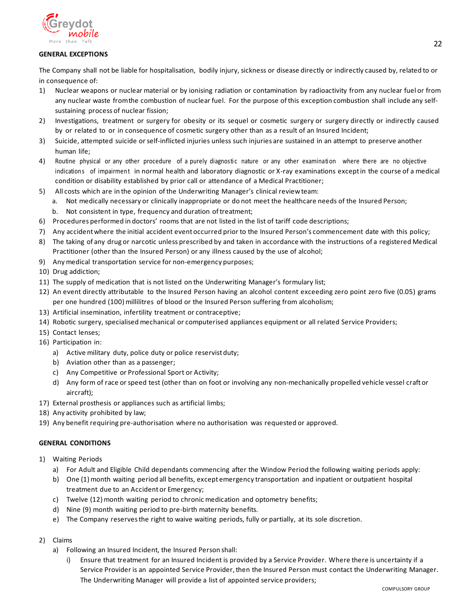

## **GENERAL EXCEPTIONS**

The Company shall not be liable for hospitalisation, bodily injury, sickness or disease directly or indirectly caused by, related to or in consequence of:

- 1) Nuclear weapons or nuclear material or by ionising radiation or contamination by radioactivity from any nuclear fuel or from any nuclear waste fromthe combustion of nuclear fuel. For the purpose of this exception combustion shall include any selfsustaining process of nuclear fission;
- 2) Investigations, treatment or surgery for obesity or its sequel or cosmetic surgery or surgery directly or indirectly caused by or related to or in consequence of cosmetic surgery other than as a result of an Insured Incident;
- 3) Suicide, attempted suicide orself-inflicted injuries unless such injuries are sustained in an attempt to preserve another human life;
- 4) Routine physical or any other procedure of a purely diagnostic nature or any other examination where there are no objective indications of impairment in normal health and laboratory diagnostic or X-ray examinations except in the course of a medical condition or disability established by prior call or attendance of a Medical Practitioner;
- 5) All costs which are in the opinion of the Underwriting Manager's clinical reviewteam:
	- a. Not medically necessary or clinically inappropriate or do not meet the healthcare needs of the Insured Person;
	- b. Not consistent in type, frequency and duration of treatment;
- 6) Procedures performed in doctors' rooms that are not listed in the list of tariff code descriptions;
- 7) Any accident where the initial accident event occurred prior to the Insured Person's commencement date with this policy;
- 8) The taking of any drug or narcotic unless prescribed by and taken in accordance with the instructions of a registered Medical Practitioner (other than the Insured Person) or any illness caused by the use of alcohol;
- 9) Any medical transportation service for non-emergency purposes;
- 10) Drug addiction;
- 11) The supply of medication that is not listed on the Underwriting Manager's formulary list;
- 12) An event directly attributable to the Insured Person having an alcohol content exceeding zero point zero five (0.05) grams per one hundred (100) millilitres of blood or the Insured Person suffering from alcoholism;
- 13) Artificial insemination, infertility treatment or contraceptive;
- 14) Robotic surgery, specialised mechanical or computerised appliances equipment or all related Service Providers;
- 15) Contact lenses;
- 16) Participation in:
	- a) Active military duty, police duty or police reservist duty;
	- b) Aviation other than as a passenger;
	- c) Any Competitive or Professional Sport or Activity;
	- d) Any form of race orspeed test (other than on foot or involving any non-mechanically propelled vehicle vessel craft or aircraft);
- 17) External prosthesis or appliances such as artificial limbs;
- 18) Any activity prohibited by law;
- 19) Any benefit requiring pre-authorisation where no authorisation was requested or approved.

## **GENERAL CONDITIONS**

- 1) Waiting Periods
	- a) For Adult and Eligible Child dependants commencing after the Window Period the following waiting periods apply:
	- b) One (1) month waiting period all benefits, except emergency transportation and inpatient or outpatient hospital treatment due to an Accident or Emergency;
	- c) Twelve (12) month waiting period to chronic medication and optometry benefits;
	- d) Nine (9) month waiting period to pre-birth maternity benefits.
	- e) The Company reserves the right to waive waiting periods, fully or partially, at its sole discretion.
- 2) Claims
	- a) Following an Insured Incident, the Insured Person shall:
		- i) Ensure that treatment for an Insured Incident is provided by a Service Provider. Where there is uncertainty if a Service Provider is an appointed Service Provider, then the Insured Person must contact the Underwriting Manager. The Underwriting Manager will provide a list of appointed service providers;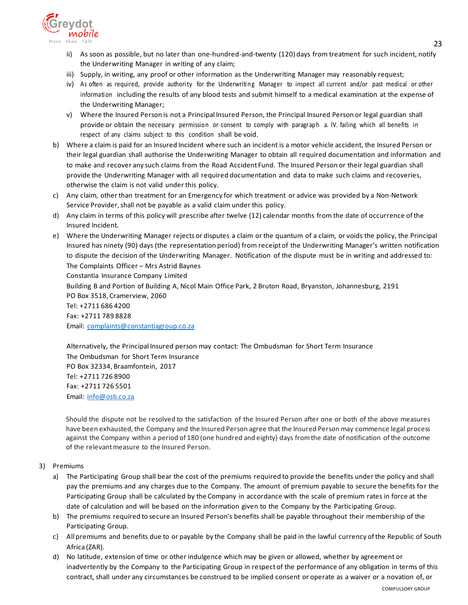

- ii) As soon as possible, but no later than one-hundred-and-twenty (120) days from treatment for such incident, notify the Underwriting Manager in writing of any claim;
- iii) Supply, in writing, any proof or other information as the Underwriting Manager may reasonably request;
- iv) As often as required, provide authority for the Underwriting Manager to inspect all current and/or past medical or other information including the results of any blood tests and submit himself to a medical examination at the expense of the Underwriting Manager;
- v) Where the Insured Person is not a Principal Insured Person, the Principal Insured Person or legal guardian shall provide or obtain the necessary permission or consent to comply with paragraph a. IV. failing which all benefits in respect of any claims subject to this condition shall be void.
- b) Where a claim is paid for an Insured Incident where such an incident is a motor vehicle accident, the Insured Person or their legal guardian shall authorise the Underwriting Manager to obtain all required documentation and information and to make and recover any such claims from the Road Accident Fund. The Insured Person or their legal guardian shall provide the Underwriting Manager with all required documentation and data to make such claims and recoveries, otherwise the claim is not valid under this policy.
- c) Any claim, other than treatment for an Emergency for which treatment or advice was provided by a Non-Network Service Provider, shall not be payable as a valid claim under this policy.
- d) Any claim in terms of this policy will prescribe after twelve (12) calendar months from the date of occurrence ofthe Insured Incident.
- e) Where the Underwriting Manager rejects or disputes a claim or the quantum of a claim, or voids the policy, the Principal Insured has ninety (90) days (the representation period) from receipt of the Underwriting Manager's written notification to dispute the decision of the Underwriting Manager. Notification of the dispute must be in writing and addressed to: The Complaints Officer – Mrs Astrid Baynes

Constantia Insurance Company Limited Building B and Portion of Building A, Nicol Main Office Park, 2 Bruton Road, Bryanston, Johannesburg, 2191 PO Box 3518, Cramerview, 2060 Tel: +2711 686 4200 Fax: +2711 789 8828 Email: [complaints@constantiagroup.co.za](mailto:complaints@constantiagroup.co.za)

Alternatively, the Principal Insured person may contact: The Ombudsman for Short Term Insurance The Ombudsman for Short Term Insurance PO Box 32334, Braamfontein, 2017 Tel: +2711 726 8900 Fax: +2711 726 5501 Email: [info@osti.co.za](mailto:info@osti.co.za)

Should the dispute not be resolved to the satisfaction of the Insured Person after one or both of the above measures have been exhausted, the Company and the Insured Person agree that the Insured Person may commence legal process against the Company within a period of 180 (one hundred and eighty) days from the date of notification ofthe outcome of the relevantmeasure to the Insured Person.

- 3) Premiums
	- a) The Participating Group shall bear the cost of the premiums required to provide the benefits under the policy and shall pay the premiums and any charges due to the Company. The amount of premium payable to secure the benefits for the Participating Group shall be calculated by the Company in accordance with the scale of premium rates in force at the date of calculation and will be based on the information given to the Company by the Participating Group.
	- b) The premiums required to secure an Insured Person's benefits shall be payable throughout their membership of the Participating Group.
	- c) All premiums and benefits due to or payable by the Company shall be paid in the lawful currency ofthe Republic of South Africa (ZAR).
	- d) No latitude, extension of time or other indulgence which may be given or allowed, whether by agreement or inadvertently by the Company to the Participating Group in respect of the performance of any obligation in terms of this contract, shall under any circumstances be construed to be implied consent or operate as a waiver or a novation of, or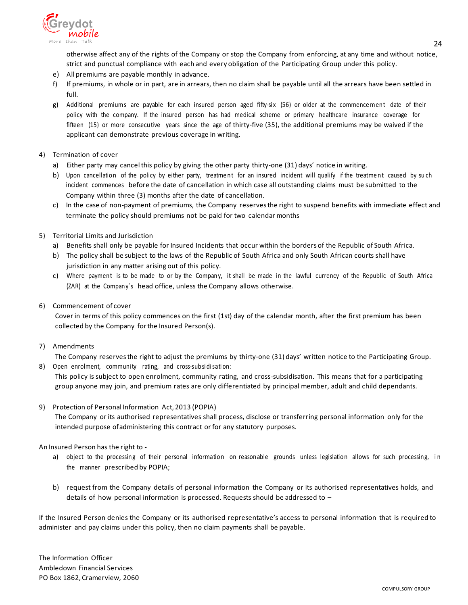

otherwise affect any of the rights of the Company or stop the Company from enforcing, at any time and without notice, strict and punctual compliance with each and every obligation of the Participating Group under this policy.

- e) All premiums are payable monthly in advance.
- f) If premiums, in whole or in part, are in arrears, then no claim shall be payable until all the arrears have been settled in full.
- g) Additional premiums are payable for each insured person aged fifty-six (56) or older at the commence ment date of their policy with the company. If the insured person has had medical scheme or primary healthcare insurance coverage for fifteen (15) or more consecutive years since the age of thirty-five (35), the additional premiums may be waived if the applicant can demonstrate previous coverage in writing.
- 4) Termination of cover
	- a) Either party may cancelthis policy by giving the other party thirty-one (31) days' notice in writing.
	- b) Upon cancellation of the policy by either party, treatment for an insured incident will qualify if the treatment caused by such incident commences before the date of cancellation in which case all outstanding claims must be submitted to the Company within three (3) months after the date of cancellation.
	- c) In the case of non-payment of premiums, the Company reserves the right to suspend benefits with immediate effect and terminate the policy should premiums not be paid for two calendar months
- 5) Territorial Limits and Jurisdiction
	- a) Benefits shall only be payable for Insured Incidents that occur within the borders of the Republic of South Africa.
	- b) The policy shall be subject to the laws of the Republic of South Africa and only South African courts shall have jurisdiction in any matter arising out of this policy.
	- c) Where payment is to be made to or by the Company, it shall be made in the lawful currency of the Republic of South Africa (ZAR) at the Company's head office, unless the Company allows otherwise.
- 6) Commencement of cover

Cover in terms of this policy commences on the first (1st) day of the calendar month, after the first premium has been collected by the Company forthe Insured Person(s).

7) Amendments

The Company reservesthe right to adjust the premiums by thirty-one (31) days' written notice to the Participating Group. 8) Open enrolment, community rating, and cross-subsidisation:

- This policy is subject to open enrolment, community rating, and cross-subsidisation. This means that for a participating group anyone may join, and premium rates are only differentiated by principal member, adult and child dependants.
- 9) Protection of Personal Information Act, 2013 (POPIA)

The Company or its authorised representatives shall process, disclose or transferring personal information only for the intended purpose ofadministering this contract or for any statutory purposes.

An Insured Person has the right to -

- a) object to the processing of their personal information on reasonable grounds unless legislation allows for such processing, in the manner prescribed by POPIA;
- b) request from the Company details of personal information the Company or its authorised representatives holds, and details of how personal information is processed. Requests should be addressed to –

If the Insured Person denies the Company or its authorised representative's access to personal information that is required to administer and pay claims under this policy, then no claim payments shall be payable.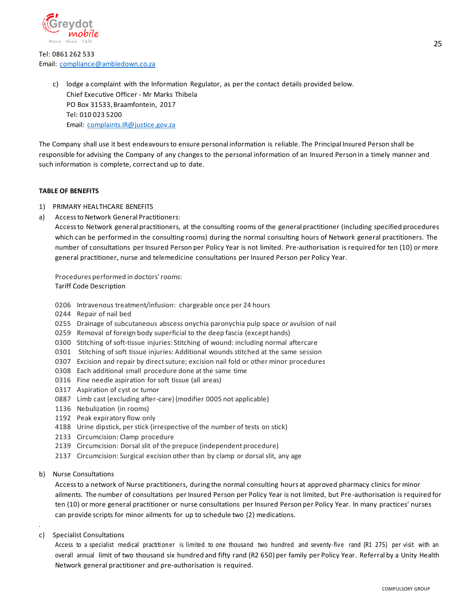

Tel: 0861 262 533 Email: [compliance@ambledown.co.za](mailto:compliance@ambledown.co.za)

> c) lodge a complaint with the Information Regulator, as per the contact details provided below. Chief Executive Officer - Mr Marks Thibela PO Box 31533, Braamfontein, 2017 Tel: 010 023 5200 Email: [complaints.IR@justice.gov.za](mailto:complaints.IR@justice.gov.za)

The Company shall use it best endeavoursto ensure personal information is reliable. The Principal Insured Person shall be responsible for advising the Company of any changes to the personal information of an Insured Person in a timely manner and such information is complete, correct and up to date.

### **TABLE OF BENEFITS**

- 1) PRIMARY HEALTHCARE BENEFITS
- a) Accessto Network General Practitioners:

Access to Network general practitioners, at the consulting rooms of the general practitioner (including specified procedures which can be performed in the consulting rooms) during the normal consulting hours of Network general practitioners. The number of consultations per Insured Person per Policy Year is not limited. Pre-authorisation is required for ten (10) or more general practitioner, nurse and telemedicine consultations per Insured Person per Policy Year.

Procedures performed in doctors'rooms: Tariff Code Description

- 0206 Intravenous treatment/infusion: chargeable once per 24 hours
- 0244 Repair of nail bed
- 0255 Drainage of subcutaneous abscess onychia paronychia pulp space or avulsion of nail
- 0259 Removal of foreign body superficial to the deep fascia (except hands)
- 0300 Stitching of soft-tissue injuries: Stitching of wound: including normal aftercare
- 0301 Stitching of soft tissue injuries: Additional wounds stitched at the same session
- 0307 Excision and repair by direct suture; excision nail fold or other minor procedures
- 0308 Each additional small procedure done at the same time
- 0316 Fine needle aspiration for soft tissue (all areas)
- 0317 Aspiration of cyst or tumor
- 0887 Limb cast (excluding after-care) (modifier 0005 not applicable)
- 1136 Nebulization (in rooms)
- 1192 Peak expiratory flow only
- 4188 Urine dipstick, perstick (irrespective of the number of tests on stick)
- 2133 Circumcision: Clamp procedure
- 2139 Circumcision: Dorsal slit of the prepuce (independent procedure)
- 2137 Circumcision: Surgical excision other than by clamp or dorsal slit, any age
- b) Nurse Consultations

Accessto a network of Nurse practitioners, during the normal consulting hours at approved pharmacy clinics for minor ailments. The number of consultations per Insured Person per Policy Year is not limited, but Pre -authorisation is required for ten (10) or more general practitioner or nurse consultations per Insured Person per Policy Year. In many practices' nurses can provide scripts for minor ailments for up to schedule two (2) medications.

c) Specialist Consultations

.

Access to a specialist medical practitioner is limited to one thousand two hundred and seventy-five rand (R1 275) per visit with an overall annual limit of two thousand six hundred and fifty rand (R2 650) per family per Policy Year. Referral by a Unity Health Network general practitioner and pre-authorisation is required.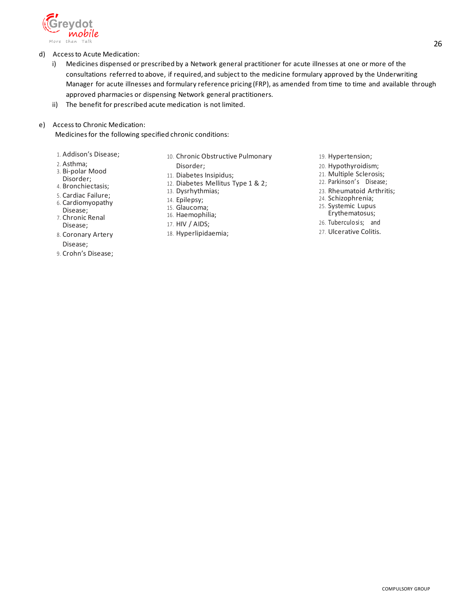

- d) Accessto Acute Medication:
	- i) Medicines dispensed or prescribed by a Network general practitioner for acute illnesses at one or more of the consultations referred to above, if required, and subject to the medicine formulary approved by the Underwriting Manager for acute illnesses and formulary reference pricing (FRP), as amended from time to time and available through approved pharmacies or dispensing Network general practitioners.
	- ii) The benefit for prescribed acute medication is not limited.
- e) Accessto Chronic Medication:

Medicinesfor the following specified chronic conditions:

- 1. Addison's Disease;
- 2. Asthma;
- 3. Bi-polar Mood
- Disorder;
- 4. Bronchiectasis;
- 5. Cardiac Failure;
- 6. Cardiomyopathy
- Disease; 7. Chronic Renal
- Disease; 8. Coronary Artery
- Disease;
- 9. Crohn's Disease;
- 10. Chronic Obstructive Pulmonary
	- Disorder;
- 11. Diabetes Insipidus;
- 12. Diabetes Mellitus Type 1 & 2;
- 13. Dysrhythmias;
- 14. Epilepsy;
- 15. Glaucoma;
- 16. Haemophilia;
- 17. HIV / AIDS;
- 18. Hyperlipidaemia;
- 19. Hypertension;
- 20. Hypothyroidism;
- 21. Multiple Sclerosis;
- 22. Parkinson's Disease;
- 23. Rheumatoid Arthritis;
- 24. Schizophrenia;
- 25. Systemic Lupus Erythematosus;
- 26. Tuberculosi s; and
- 27. Ulcerative Colitis.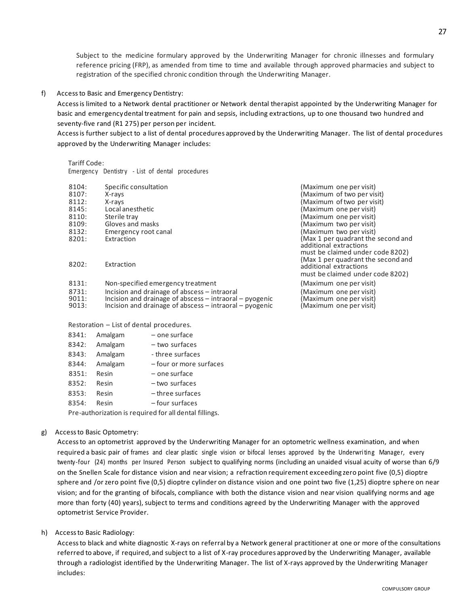Subject to the medicine formulary approved by the Underwriting Manager for chronic illnesses and formulary reference pricing (FRP), as amended from time to time and available through approved pharmacies and subject to registration of the specified chronic condition through the Underwriting Manager.

f) Accessto Basic and Emergency Dentistry:

Access is limited to a Network dental practitioner or Network dental therapist appointed by the Underwriting Manager for basic and emergencydental treatment for pain and sepsis, including extractions, up to one thousand two hundred and seventy-five rand (R1 275) per person per incident.

Access is further subject to a list of dental procedures approved by the Underwriting Manager. The list of dental procedures approved by the Underwriting Manager includes:

#### Tariff Code:

Emergency Dentistry - List of dental procedures

| 8104:                   | Specific consultation                                                                                                                                                      | (Maximum one per visit)                                                                          |
|-------------------------|----------------------------------------------------------------------------------------------------------------------------------------------------------------------------|--------------------------------------------------------------------------------------------------|
| 8107:                   | X-rays                                                                                                                                                                     | (Maximum of two per visit)                                                                       |
| 8112:                   | X-rays                                                                                                                                                                     | (Maximum of two per visit)                                                                       |
| 8145:                   | Local anesthetic                                                                                                                                                           | (Maximum one per visit)                                                                          |
| 8110:                   | Sterile tray                                                                                                                                                               | (Maximum one per visit)                                                                          |
| 8109:                   | Gloves and masks                                                                                                                                                           | (Maximum two per visit)                                                                          |
| 8132:                   | Emergency root canal                                                                                                                                                       | (Maximum two per visit)                                                                          |
| 8201:                   | Extraction                                                                                                                                                                 | (Max 1 per quadrant the second and<br>additional extractions<br>must be claimed under code 8202) |
| 8202:                   | Extraction                                                                                                                                                                 | (Max 1 per quadrant the second and<br>additional extractions<br>must be claimed under code 8202) |
| 8131:                   | Non-specified emergency treatment                                                                                                                                          | (Maximum one per visit)                                                                          |
| 8731:<br>9011:<br>9013: | Incision and drainage of abscess – intraoral<br>Incision and drainage of abscess $-$ intraoral $-$ pyogenic<br>Incision and drainage of abscess $-$ intraoral $-$ pyogenic | (Maximum one per visit)<br>(Maximum one per visit)<br>(Maximum one per visit)                    |

Restoration – List of dental procedures.

| 8341: | Amalgam | - one surface          |
|-------|---------|------------------------|
| 8342: | Amalgam | - two surfaces         |
| 8343: | Amalgam | - three surfaces       |
| 8344: | Amalgam | -four or more surfaces |
| 8351: | Resin   | - one surface          |
| 8352: | Resin   | - two surfaces         |
| 8353: | Resin   | - three surfaces       |
| 8354: | Resin   | -four surfaces         |
|       |         |                        |

Pre-authorization is required for all dental fillings.

### g) Accessto Basic Optometry:

Access to an optometrist approved by the Underwriting Manager for an optometric wellness examination, and when required a basic pair of frames and clear plastic single vision or bifocal lenses approved by the Underwriting Manager, every twenty-four (24) months per Insured Person subject to qualifying norms (including an unaided visual acuity of worse than 6/9 on the Snellen Scale for distance vision and near vision; a refraction requirement exceeding zero point five (0,5) dioptre sphere and /or zero point five (0,5) dioptre cylinder on distance vision and one point two five (1,25) dioptre sphere on near vision; and for the granting of bifocals, compliance with both the distance vision and near vision qualifying norms and age more than forty (40) years), subject to terms and conditions agreed by the Underwriting Manager with the approved optometrist Service Provider.

h) Accessto Basic Radiology:

Accessto black and white diagnostic X-rays on referral by a Network general practitioner at one or more ofthe consultations referred to above, if required, and subject to a list of X-ray procedures approved by the Underwriting Manager, available through a radiologist identified by the Underwriting Manager. The list of X-rays approved by the Underwriting Manager includes: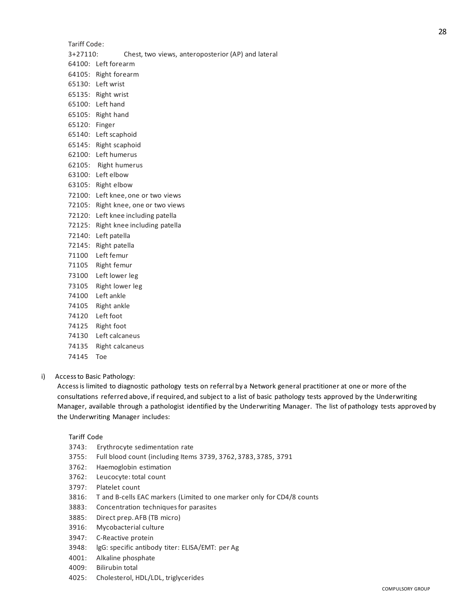#### Tariff Code:

- 3+27110: Chest, two views, anteroposterior (AP) and lateral
- 64100: Left forearm
- 64105: Right forearm
- 65130: Left wrist
- 65135: Right wrist
- 65100: Left hand
- 65105: Right hand
- 65120: Finger
- 65140: Left scaphoid
- 65145: Right scaphoid
- 62100: Left humerus
- 62105: Right humerus
- 63100: Left elbow
- 63105: Right elbow
- 72100: Left knee, one or two views
- 72105: Right knee, one or two views
- 72120: Left knee including patella
- 72125: Right knee including patella
- 72140: Left patella
- 72145: Right patella
- 71100 Left femur
- 71105 Right femur
- 73100 Left lower leg
- 73105 Right lower leg
- 74100 Left ankle
- 74105 Right ankle
- 74120 Left foot
- 74125 Right foot
- 74130 Left calcaneus
- 74135 Right calcaneus
- 74145 Toe

#### i) Accessto Basic Pathology:

Accessis limited to diagnostic pathology tests on referral by a Network general practitioner at one or more ofthe consultations referred above, if required, and subject to a list of basic pathology tests approved by the Underwriting Manager, available through a pathologist identified by the Underwriting Manager. The list of pathology tests approved by the Underwriting Manager includes:

#### Tariff Code

- 3743: Erythrocyte sedimentation rate
- 3755: Full blood count (including Items 3739, 3762, 3783, 3785, 3791
- 3762: Haemoglobin estimation
- 3762: Leucocyte: total count
- 3797: Platelet count
- 3816: T and B-cells EAC markers (Limited to one marker only for CD4/8 counts
- 3883: Concentration techniques for parasites
- 3885: Direct prep. AFB (TB micro)
- 3916: Mycobacterial culture
- 3947: C-Reactive protein
- 3948: lgG: specific antibody titer: ELISA/EMT: per Ag
- 4001: Alkaline phosphate
- 4009: Bilirubin total
- 4025: Cholesterol, HDL/LDL, triglycerides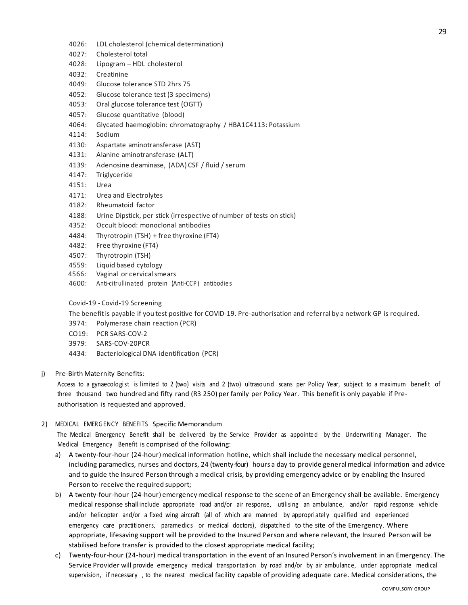- 4026: LDL cholesterol (chemical determination)
- 4027: Cholesterol total
- 4028: Lipogram HDL cholesterol
- 4032: Creatinine
- 4049: Glucose tolerance STD 2hrs 75
- 4052: Glucose tolerance test (3 specimens)
- 4053: Oral glucose tolerance test (OGTT)
- 4057: Glucose quantitative (blood)
- 4064: Glycated haemoglobin: chromatography / HBA1C4113: Potassium
- 4114: Sodium
- 4130: Aspartate aminotransferase (AST)
- 4131: Alanine aminotransferase (ALT)
- 4139: Adenosine deaminase, (ADA) CSF / fluid / serum
- 4147: Triglyceride
- 4151: Urea
- 4171: Urea and Electrolytes
- 4182: Rheumatoid factor
- 4188: Urine Dipstick, per stick (irrespective of number of tests on stick)
- 4352: Occult blood: monoclonal antibodies
- 4484: Thyrotropin (TSH) + free thyroxine (FT4)
- 4482: Free thyroxine (FT4)
- 4507: Thyrotropin (TSH)
- 4559: Liquid based cytology
- 4566: Vaginal or cervicalsmears
- 4600: Anti-citrullinated protein (Anti-CCP) antibodie s

Covid-19 - Covid-19 Screening

The benefitis payable if you test positive for COVID-19. Pre-authorisation and referral by a network GP is required.

- 3974: Polymerase chain reaction (PCR)
- CO19: PCR SARS-COV-2
- 3979: SARS-COV-20PCR
- 4434: Bacteriological DNA identification (PCR)
- j) Pre-Birth Maternity Benefits:

Access to a gynaecologist is limited to 2 (two) visits and 2 (two) ultrasound scans per Policy Year, subject to a maximum benefit of three thousand two hundred and fifty rand (R3 250) per family per Policy Year. This benefit is only payable if Preauthorisation is requested and approved.

#### 2) MEDICAL EMERGENCY BENEFITS Specific Memorandum

The Medical Emergency Benefit shall be delivered by the Service Provider as appointed by the Underwriting Manager. The Medical Emergency Benefit is comprised of the following:

- a) A twenty-four-hour (24-hour) medical information hotline, which shall include the necessary medical personnel, including paramedics, nurses and doctors, 24 (twenty-four) hours a day to provide general medical information and advice and to guide the Insured Person through a medical crisis, by providing emergency advice or by enabling the Insured Person to receive the required support;
- b) A twenty-four-hour (24-hour) emergency medical response to the scene of an Emergency shall be available. Emergency medical response shallinclude appropriate road and/or air response, utilising an ambulance, and/or rapid response vehicle and/or helicopter and/or a fixed wing aircraft (all of which are manned by appropriately qualified and experienced emergency care practitioners, parame dics or medical doctors), dispatched to the site of the Emergency. Where appropriate, lifesaving support will be provided to the Insured Person and where relevant, the Insured Person will be stabilised before transfer is provided to the closest appropriate medical facility;
- c) Twenty-four-hour (24-hour) medical transportation in the event of an Insured Person's involvement in an Emergency. The Service Provider will provide emergency medical transportation by road and/or by air ambulance, under appropriate medical supervision, if necessary , to the nearest medical facility capable of providing adequate care. Medical considerations, the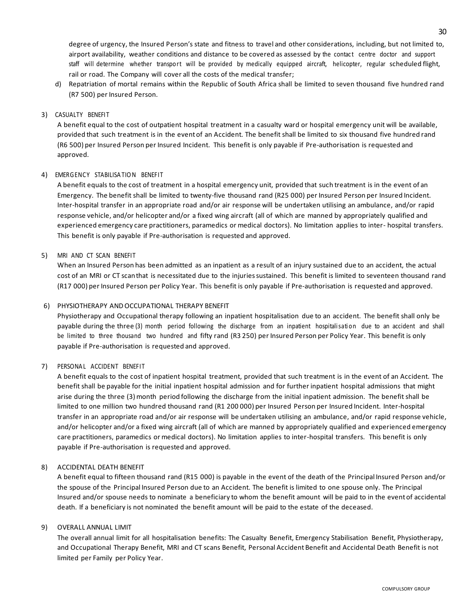degree of urgency, the Insured Person's state and fitness to travel and other considerations, including, but not limited to, airport availability, weather conditions and distance to be covered as assessed by the contact centre doctor and support staff will determine whether transport will be provided by medically equipped aircraft, helicopter, regular scheduled flight, rail or road. The Company will cover all the costs of the medical transfer;

d) Repatriation of mortal remains within the Republic of South Africa shall be limited to seven thousand five hundred rand (R7 500) per Insured Person.

### 3) CASUALTY BENEFIT

A benefit equal to the cost of outpatient hospital treatment in a casualty ward or hospital emergency unit will be available, provided that such treatment is in the event of an Accident. The benefit shall be limited to six thousand five hundred rand (R6 500) per Insured Person per Insured Incident. This benefit is only payable if Pre-authorisation is requested and approved.

### 4) EMERGENCY STABILISA TIO N BENEFIT

A benefit equals to the cost of treatment in a hospital emergency unit, provided that such treatment is in the event of an Emergency. The benefit shall be limited to twenty-five thousand rand (R25 000) per Insured Person per Insured Incident. Inter-hospital transfer in an appropriate road and/or air response will be undertaken utilising an ambulance, and/or rapid response vehicle, and/or helicopter and/or a fixed wing aircraft (all of which are manned by appropriately qualified and experienced emergency care practitioners, paramedics or medical doctors). No limitation applies to inter- hospital transfers. This benefit is only payable if Pre-authorisation is requested and approved.

#### 5) MRI AND CT SCAN BENEFIT

When an Insured Person has been admitted as an inpatient as a result of an injury sustained due to an accident, the actual cost of an MRI or CT scanthat is necessitated due to the injuries sustained. This benefit is limited to seventeen thousand rand (R17 000) per Insured Person per Policy Year. This benefit is only payable if Pre-authorisation is requested and approved.

### 6) PHYSIOTHERAPY ANDOCCUPATIONAL THERAPY BENEFIT

Physiotherapy and Occupational therapy following an inpatient hospitalisation due to an accident. The benefit shall only be payable during the three (3) month period following the discharge from an inpatient hospitalisation due to an accident and shall be limited to three thousand two hundred and fifty rand (R3 250) per Insured Person per Policy Year. This benefit is only payable if Pre-authorisation is requested and approved.

## 7) PERSONAL ACCIDENT BENEFIT

A benefit equals to the cost of inpatient hospital treatment, provided that such treatment is in the event of an Accident. The benefit shall be payable for the initial inpatient hospital admission and for further inpatient hospital admissions that might arise during the three (3) month period following the discharge from the initial inpatient admission. The benefit shall be limited to one million two hundred thousand rand (R1 200 000) per Insured Person per Insured Incident. Inter-hospital transfer in an appropriate road and/or air response will be undertaken utilising an ambulance, and/or rapid response vehicle, and/or helicopter and/or a fixed wing aircraft (all of which are manned by appropriately qualified and experienced emergency care practitioners, paramedics or medical doctors). No limitation applies to inter-hospital transfers. This benefit is only payable if Pre-authorisation is requested and approved.

#### 8) ACCIDENTAL DEATH BENEFIT

A benefit equal to fifteen thousand rand (R15 000) is payable in the event of the death of the Principal Insured Person and/or the spouse of the Principal Insured Person due to an Accident. The benefit is limited to one spouse only. The Principal Insured and/or spouse needs to nominate a beneficiary to whom the benefit amount will be paid to in the event of accidental death. If a beneficiary is not nominated the benefit amount will be paid to the estate of the deceased.

#### 9) OVERALL ANNUAL LIMIT

The overall annual limit for all hospitalisation benefits: The Casualty Benefit, Emergency Stabilisation Benefit, Physiotherapy, and Occupational Therapy Benefit, MRI and CT scans Benefit, Personal Accident Benefit and Accidental Death Benefit is not limited per Family per Policy Year.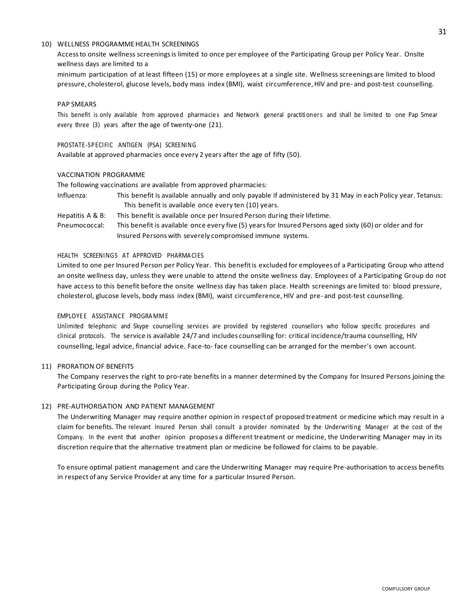#### 10) WELLNESS PROGRAMMEHEALTH SCREENINGS

Accessto onsite wellness screenings is limited to once per employee of the Participating Group per Policy Year. Onsite wellness days are limited to a

minimum participation of at least fifteen (15) or more employees at a single site. Wellness screenings are limited to blood pressure, cholesterol, glucose levels, body mass index (BMI), waist circumference, HIV and pre- and post-test counselling.

#### PAP SMEARS

This benefit is only available from approved pharmacies and Network general practitioners and shall be limited to one Pap Smear every three (3) years after the age of twenty-one (21).

#### PROSTATE-SPECIFIC ANTIGEN (PSA) SCREENING

Available at approved pharmacies once every 2 years after the age of fifty (50).

#### VACCINATION PROGRAMME

The following vaccinations are available from approved pharmacies:

- Influenza: This benefit is available annually and only payable if administered by 31 May in each Policy year. Tetanus: This benefit is available once every ten (10) years.
- Hepatitis A & B: This benefit is available once per Insured Person during their lifetime.
- Pneumococcal: This benefit is available once every five (5) yearsfor Insured Persons aged sixty (60) or older and for Insured Persons with severely compromised immune systems.

### HEALTH SCREENINGS AT APPROVED PHARMA CIES

Limited to one per Insured Person per Policy Year. This benefitis excluded for employees of a Participating Group who attend an onsite wellness day, unless they were unable to attend the onsite wellness day. Employees of a Participating Group do not have access to this benefit before the onsite wellness day has taken place. Health screenings are limited to: blood pressure, cholesterol, glucose levels, body mass index (BMI), waist circumference,HIV and pre- and post-test counselling.

#### EMPLOYEE ASSISTANCE PROGRAMME

Unlimited telephonic and Skype counselling services are provided by registered counsellors who follow specific procedures and clinical protocols. The service is available 24/7 and includes counselling for: critical incidence/trauma counselling, HIV counselling, legal advice, financial advice. Face-to- face counselling can be arranged for the member's own account.

#### 11) PRORATION OF BENEFITS

The Company reserves the right to pro-rate benefits in a manner determined by the Company for Insured Persons joining the Participating Group during the Policy Year.

#### 12) PRE-AUTHORISATION AND PATIENT MANAGEMENT

The Underwriting Manager may require another opinion in respect of proposed treatment or medicine which may result in a claim for benefits. The relevant Insured Person shall consult a provider nominated by the Underwriting Manager at the cost of the Company. In the event that another opinion proposes a different treatment or medicine, the Underwriting Manager may in its discretion require that the alternative treatment plan or medicine be followed for claims to be payable.

To ensure optimal patient management and care the Underwriting Manager may require Pre-authorisation to access benefits in respect of any Service Provider at any time for a particular Insured Person.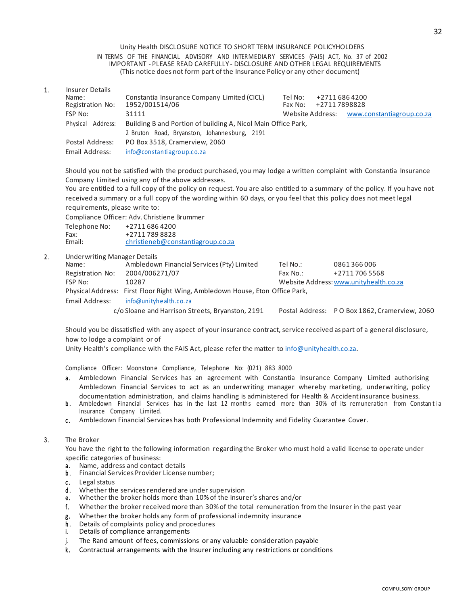#### Unity Health DISCLOSURE NOTICE TO SHORT TERM INSURANCE POLICYHOLDERS IN TERMS OF THE FINANCIAL ADVISORY AND INTERMEDIA RY SERVICES (FAIS) ACT, No. 37 of 2002 IMPORTANT - PLEASE READ CAREFULLY - DISCLOSURE AND OTHER LEGAL REQUIREMENTS (This notice does not form part ofthe Insurance Policy or any other document)

1. Insurer Details<br>Name: Name: Constantia Insurance Company Limited (CICL) Tel No: +2711 686 4200<br>Registration No: 1952/001514/06 Fax No: +2711 7898828 1952/001514/06 FSP No: 31111 31111 31111 31111 31111 31111 Website Address: [www.constantiagroup.co.za](http://www.constantiagroup.co.za/) Physical Address: Building B and Portion of building A, Nicol Main Office Park, 2 Bruton Road, Bryanston, Johanne sburg, 2191 Postal Address: PO Box 3518, Cramerview, 2060 Email Address: info@constantiagroup.co.za

Should you not be satisfied with the product purchased, you may lodge a written complaint with Constantia Insurance Company Limited using any of the above addresses.

You are entitled to a full copy of the policy on request. You are also entitled to a summary of the policy. If you have not received a summary or a full copy of the wording within 60 days, or you feel that this policy does not meet legal requirements, please write to:

Compliance Officer: Adv. Christiene Brummer

| Telephone No: | +27116864200                      |
|---------------|-----------------------------------|
| Fax:          | +27117898828                      |
| Email:        | christieneb@constantiagroup.co.za |

# 2. Underwriting Manager Details

| Underwriting Manager Details |                                                                              |          |                                               |
|------------------------------|------------------------------------------------------------------------------|----------|-----------------------------------------------|
| Name:                        | Ambledown Financial Services (Pty) Limited                                   | Tel No.: | 0861366006                                    |
| Registration No:             | 2004/006271/07                                                               | Fax No.: | +27117065568                                  |
| FSP No:                      | 10287                                                                        |          | Website Address: www.unityhealth.co.za        |
|                              | Physical Address: First Floor Right Wing, Ambledown House, Eton Office Park, |          |                                               |
| Email Address:               | info@unityhealth.co.za                                                       |          |                                               |
|                              | c/o Sloane and Harrison Streets, Bryanston, 2191                             |          | Postal Address: PO Box 1862, Cramerview, 2060 |
|                              |                                                                              |          |                                               |

Should you be dissatisfied with any aspect of your insurance contract, service received as part of a general disclosure, how to lodge a complaint or of

Unity Health's compliance with the FAIS Act, please refer the matter to [info@unityhealth.co.za.](mailto:info@unityhealth.co.za)

Compliance Officer: Moonstone Compliance, Telephone No: (021) 883 8000

- a. Ambledown Financial Services has an agreement with Constantia Insurance Company Limited authorising Ambledown Financial Services to act as an underwriting manager whereby marketing, underwriting, policy documentation administration, and claims handling is administered for Health & Accidentinsurance business.
- b. Ambledown Financial Services has in the last 12 months earned more than 30% of its remuneration from Constantia Insurance Company Limited.
- c. Ambledown Financial Services has both Professional Indemnity and Fidelity Guarantee Cover.

#### 3. The Broker

You have the right to the following information regarding the Broker who must hold a valid license to operate under specific categories of business:<br>a. Name, address and contact

- Name, address and contact details
- b. Financial Services Provider License number;
- c. Legal status<br>d. Whether the
- Whether the services rendered are under supervision
- e. Whether the broker holds more than 10% of the Insurer's shares and/or
- f . Whether the broker received more than 30%of the total remuneration from the Insurer in the past year
- g. Whether the broker holds any form of professional indemnity insurance
- h. Details of complaints policy and procedures
- i. Details of compliance arrangements
- j. The Rand amount of fees, commissions or any valuable consideration payable
- k . Contractual arrangements with the Insurer including any restrictions or conditions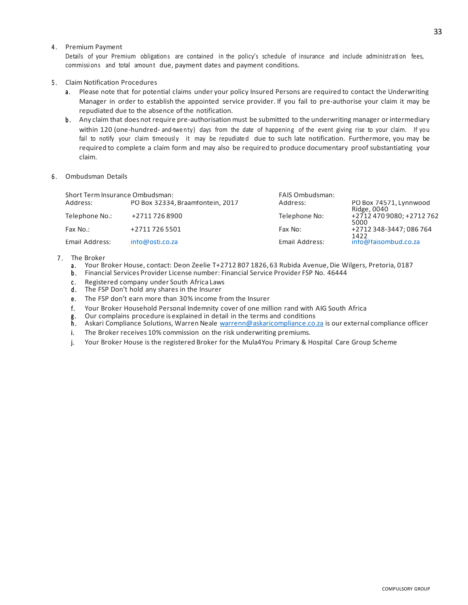### 4. Premium Payment

Details of your Premium obligations are contained in the policy's schedule of insurance and include administration fees, commissi ons and total amount due, payment dates and payment conditions.

### 5 . Claim Notification Procedures

- a. Please note that for potential claims under your policy Insured Persons are required to contact the Underwriting Manager in order to establish the appointed service provider. If you fail to pre-authorise your claim it may be repudiated due to the absence of the notification.
- b. Any claim that does not require pre-authorisation must be submitted to the underwriting manager or intermediary within 120 (one-hundred- and-twe nty) days from the date of happening of the event giving rise to your claim. If you fail to notify your claim timeously it may be repudiated due to such late notification. Furthermore, you may be required to complete a claim form and may also be required to produce documentary proof substantiating your claim.
- 6 . Ombudsman Details

| Short Term Insurance Ombudsman: |                                  | <b>FAIS Ombudsman:</b> |                                       |  |
|---------------------------------|----------------------------------|------------------------|---------------------------------------|--|
| Address:                        | PO Box 32334, Braamfontein, 2017 | Address:               | PO Box 74571, Lynnwood<br>Ridge, 0040 |  |
| Telephone No.:                  | +27117268900                     | Telephone No:          | +2712 470 9080; +2712 762<br>5000     |  |
| Fax No.:                        | +27117265501                     | Fax No:                | +2712 348-3447; 086 764<br>1422       |  |
| Email Address:                  | info@osti.co.za                  | Email Address:         | info@faisombud.co.za                  |  |

#### 7. The Broker

- a. Your Broker House, contact: Deon Zeelie T+2712 807 1826, 63 Rubida Avenue, Die Wilgers, Pretoria, 0187
- b . Financial Services Provider License number: Financial Service Provider FSP No. 46444
- c. Registered company under South Africa Laws
- d. The FSP Don't hold any shares in the Insurer
- e. The FSP don't earn more than 30% income from the Insurer
- f. Your Broker Household Personal Indemnity cover of one million rand with AIG South Africa<br>g. Our complains procedure is explained in detail in the terms and conditions
- g. Our complains procedure is explained in detail in the terms and conditions
- h . Askari Compliance Solutions, Warren Neale <u>warrenn@askaricompliance.co.za</u> is our external compliance officer
- i. The Broker receives 10% commission on the risk underwriting premiums.
- j. Your Broker House is the registered Broker for the Mula4You Primary & Hospital Care Group Scheme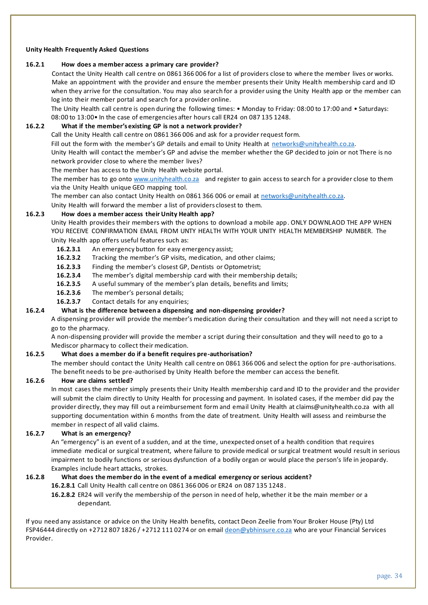### **Unity Health Frequently Asked Questions**

#### **16.2.1 How does a member access a primary care provider?**

Contact the Unity Health call centre on 0861 366 006 for a list of providers close to where the member lives or works. Make an appointment with the provider and ensure the member presents their Unity Health membership card and ID when they arrive for the consultation. You may also search for a provider using the Unity Health app or the member can log into their member portal and search for a provider online.

The Unity Health call centre is open during the following times: • Monday to Friday: 08:00 to 17:00 and • Saturdays: 08:00 to 13:00• In the case of emergencies after hours call ER24 on 087 135 1248.

## **16.2.2 What if the member's existing GP is not a network provider?**

Call the Unity Health call centre on 0861 366 006 and ask for a provider request form.

Fill out the form with the member's GP details and email to Unity Health at networks@unityhealth.co.za.

Unity Health will contact the member's GP and advise the member whether the GP decided to join or not There is no network provider close to where the member lives?

The member has access to the Unity Health website portal.

The member has to go onto [www.unityhealth.co.za](http://www.unityhealth.co.za/) and register to gain access to search for a provider close to them via the Unity Health unique GEO mapping tool.

The member can also contact Unity Health on 0861 366 006 or email at [networks@unityhealth.co.za.](mailto:networks@unityhealth.co.za)

Unity Health will forward the member a list of providers closest to them.

#### **16.2.3 How does a member access their Unity Health app?**

Unity Health provides their members with the options to download a mobile app. ONLY DOWNLAOD THE APP WHEN YOU RECEIVE CONFIRMATION EMAIL FROM UNTY HEALTH WITH YOUR UNITY HEALTH MEMBERSHIP NUMBER. The Unity Health app offers useful features such as:

- **16.2.3.1** An emergency button for easy emergency assist;
- **16.2.3.2** Tracking the member's GP visits, medication, and other claims;
- **16.2.3.3** Finding the member's closest GP, Dentists or Optometrist;
- **16.2.3.4** The member's digital membership card with their membership details;
- **16.2.3.5** A useful summary of the member's plan details, benefits and limits;
- **16.2.3.6** The member's personal details;
- **16.2.3.7** Contact details for any enquiries;

#### **16.2.4 What is the difference between a dispensing and non-dispensing provider?**

A dispensing provider will provide the member's medication during their consultation and they will not need a script to go to the pharmacy.

A non-dispensing provider will provide the member a script during their consultation and they will need to go to a Mediscor pharmacy to collect their medication.

### **16.2.5 What does a member do if a benefit requires pre-authorisation?**

The member should contact the Unity Health call centre on 0861 366 006 and select the option for pre -authorisations. The benefit needs to be pre-authorised by Unity Health before the member can access the benefit.

#### **16.2.6 How are claims settled?**

In most cases the member simply presents their Unity Health membership card and ID to the provider and the provider will submit the claim directly to Unity Health for processing and payment. In isolated cases, if the member did pay the provider directly, they may fill out a reimbursement form and email Unity Health at claims@unityhealth.co.za with all supporting documentation within 6 months from the date of treatment. Unity Health will assess and reimburse the member in respect of all valid claims.

#### **16.2.7 What is an emergency?**

An "emergency" is an event of a sudden, and at the time, unexpected onset of a health condition that requires immediate medical or surgical treatment, where failure to provide medical or surgical treatment would result in serious impairment to bodily functions or serious dysfunction of a bodily organ or would place the person's life in jeopardy. Examples include heart attacks, strokes.

## **16.2.8 What does the member do in the event of a medical emergency or serious accident?**

**16.2.8.1** Call Unity Health call centre on 0861 366 006 or ER24 on 087 135 1248 .

**16.2.8.2** ER24 will verify the membership of the person in need of help, whether it be the main member or a dependant.

If you need any assistance or advice on the Unity Health benefits, contact Deon Zeelie from Your Broker House (Pty) Ltd FSP46444 directly on +2712 807 1826 / +2712 111 0274 or on email [deon@ybhinsure.co.za](mailto:deon@ybhinsure.co.za) who are your Financial Services Provider.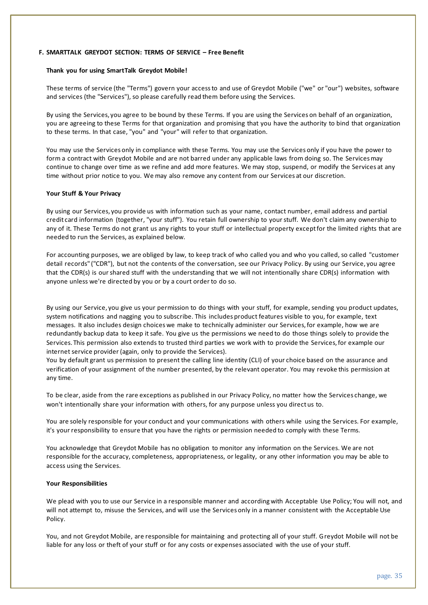#### <span id="page-34-0"></span>**F. SMARTTALK GREYDOT SECTION: TERMS OF SERVICE – Free Benefit**

#### **Thank you for using SmartTalk Greydot Mobile!**

These terms of service (the "Terms") govern your access to and use of Greydot Mobile ("we" or "our") websites, software and services (the "Services"), so please carefully read them before using the Services.

By using the Services, you agree to be bound by these Terms. If you are using the Services on behalf of an organization, you are agreeing to these Terms for that organization and promising that you have the authority to bind that organization to these terms. In that case, "you" and "your" will refer to that organization.

You may use the Services only in compliance with these Terms. You may use the Services only if you have the power to form a contract with Greydot Mobile and are not barred under any applicable laws from doing so. The Services may continue to change over time as we refine and add more features. We may stop, suspend, or modify the Services at any time without prior notice to you. We may also remove any content from our Services at our discretion.

#### **Your Stuff & Your Privacy**

By using our Services, you provide us with information such as your name, contact number, email address and partial credit card information (together, "your stuff"). You retain full ownership to your stuff. We don't claim any ownership to any of it. These Terms do not grant us any rights to your stuff or intellectual property except for the limited rights that are needed to run the Services, as explained below.

For accounting purposes, we are obliged by law, to keep track of who called you and who you called, so called "customer detail records" ("CDR"), but not the contents of the conversation, see our Privacy Policy. By using our Service, you agree that the CDR(s) is our shared stuff with the understanding that we will not intentionally share CDR(s) information with anyone unless we're directed by you or by a court order to do so.

By using our Service, you give us your permission to do things with your stuff, for example, sending you product updates, system notifications and nagging you to subscribe. This includes product features visible to you, for example, text messages. It also includes design choices we make to technically administer our Services, for example, how we are redundantly backup data to keep it safe. You give us the permissions we need to do those things solely to provide the Services. This permission also extends to trusted third parties we work with to provide the Services, for example our internet service provider (again, only to provide the Services).

You by default grant us permission to present the calling line identity (CLI) of your choice based on the assurance and verification of your assignment of the number presented, by the relevant operator. You may revoke this permission at any time.

To be clear, aside from the rare exceptions as published in our Privacy Policy, no matter how the Services change, we won't intentionally share your information with others, for any purpose unless you direct us to.

You are solely responsible for your conduct and your communications with others while using the Services. For example, it's your responsibility to ensure that you have the rights or permission needed to comply with these Terms.

You acknowledge that Greydot Mobile has no obligation to monitor any information on the Services. We are not responsible for the accuracy, completeness, appropriateness, or legality, or any other information you may be able to access using the Services.

#### **Your Responsibilities**

We plead with you to use our Service in a responsible manner and according with Acceptable Use Policy; You will not, and will not attempt to, misuse the Services, and will use the Services only in a manner consistent with the Acceptable Use Policy.

You, and not Greydot Mobile, are responsible for maintaining and protecting all of your stuff. Greydot Mobile will not be liable for any loss or theft of your stuff or for any costs or expenses associated with the use of your stuff.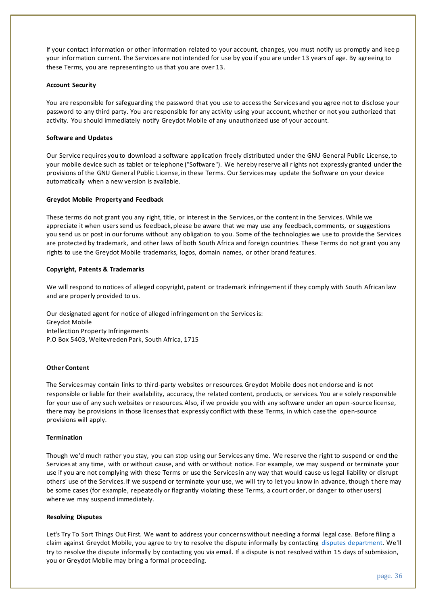If your contact information or other information related to your account, changes, you must notify us promptly and kee p your information current. The Services are not intended for use by you if you are under 13 years of age. By agreeing to these Terms, you are representing to us that you are over 13.

### **Account Security**

You are responsible for safeguarding the password that you use to access the Services and you agree not to disclose your password to any third party. You are responsible for any activity using your account, whether or not you authorized that activity. You should immediately notify Greydot Mobile of any unauthorized use of your account.

## **Software and Updates**

Our Service requires you to download a software application freely distributed under the GNU General Public License, to your mobile device such as tablet or telephone ("Software"). We hereby reserve all rights not expressly granted under the provisions of the GNU General Public License, in these Terms. Our Services may update the Software on your device automatically when a new version is available.

### **Greydot Mobile Property and Feedback**

These terms do not grant you any right, title, or interest in the Services, or the content in the Services. While we appreciate it when users send us feedback, please be aware that we may use any feedback, comments, or suggestions you send us or post in our forums without any obligation to you. Some of the technologies we use to provide the Services are protected by trademark, and other laws of both South Africa and foreign countries. These Terms do not grant you any rights to use the Greydot Mobile trademarks, logos, domain names, or other brand features.

### **Copyright, Patents & Trademarks**

We will respond to notices of alleged copyright, patent or trademark infringement if they comply with South African law and are properly provided to us.

Our designated agent for notice of alleged infringement on the Services is: Greydot Mobile Intellection Property Infringements P.O Box 5403, Weltevreden Park, South Africa, 1715

### **Other Content**

The Services may contain links to third-party websites or resources. Greydot Mobile does not endorse and is not responsible or liable for their availability, accuracy, the related content, products, or services. You ar e solely responsible for your use of any such websites or resources. Also, if we provide you with any software under an open -source license, there may be provisions in those licenses that expressly conflict with these Terms, in which case the open-source provisions will apply.

#### **Termination**

Though we'd much rather you stay, you can stop using our Services any time. We reserve the right to suspend or end the Services at any time, with or without cause, and with or without notice. For example, we may suspend or terminate your use if you are not complying with these Terms or use the Services in any way that would cause us legal liability or disrupt others' use of the Services. If we suspend or terminate your use, we will try to let you know in advance, though there may be some cases (for example, repeatedly or flagrantly violating these Terms, a court order, or danger to other users) where we may suspend immediately.

#### **Resolving Disputes**

Let's Try To Sort Things Out First. We want to address your concerns without needing a formal legal case. Before filing a claim against Greydot Mobile, you agree to try to resolve the dispute informally by contacting [disputes department.](https://www.greydot.me/Img/ALL/ActInfo.php?ux=priv) We'll try to resolve the dispute informally by contacting you via email. If a dispute is not resolved within 15 days of submission, you or Greydot Mobile may bring a formal proceeding.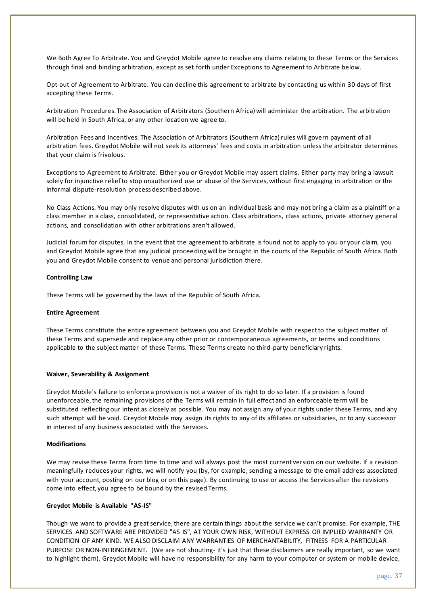We Both Agree To Arbitrate. You and Greydot Mobile agree to resolve any claims relating to these Terms or the Services through final and binding arbitration, except as set forth under Exceptions to Agreement to Arbitrate below.

Opt-out of Agreement to Arbitrate. You can decline this agreement to arbitrate by contacting us within 30 days of first accepting these Terms.

Arbitration Procedures. The Association of Arbitrators (Southern Africa) will administer the arbitration. The arbitration will be held in South Africa, or any other location we agree to.

Arbitration Fees and Incentives. The Association of Arbitrators (Southern Africa) rules will govern payment of all arbitration fees. Greydot Mobile will not seek its attorneys' fees and costs in arbitration unless the arbitrator determines that your claim is frivolous.

Exceptions to Agreement to Arbitrate. Either you or Greydot Mobile may assert claims. Either party may bring a lawsuit solely for injunctive relief to stop unauthorized use or abuse of the Services, without first engaging in arbitration or the informal dispute-resolution process described above.

No Class Actions. You may only resolve disputes with us on an individual basis and may not bring a claim as a plaintiff or a class member in a class, consolidated, or representative action. Class arbitrations, class actions, private attorney general actions, and consolidation with other arbitrations aren't allowed.

Judicial forum for disputes. In the event that the agreement to arbitrate is found not to apply to you or your claim, you and Greydot Mobile agree that any judicial proceeding will be brought in the courts of the Republic of South Africa. Both you and Greydot Mobile consent to venue and personal jurisdiction there.

#### **Controlling Law**

These Terms will be governed by the laws of the Republic of South Africa.

#### **Entire Agreement**

These Terms constitute the entire agreement between you and Greydot Mobile with respect to the subject matter of these Terms and supersede and replace any other prior or contemporaneous agreements, or terms and conditions applicable to the subject matter of these Terms. These Terms create no third-party beneficiary rights.

#### **Waiver, Severability & Assignment**

Greydot Mobile's failure to enforce a provision is not a waiver of its right to do so later. If a provision is found unenforceable, the remaining provisions of the Terms will remain in full effect and an enforceable term will be substituted reflecting our intent as closely as possible. You may not assign any of your rights under these Terms, and any such attempt will be void. Greydot Mobile may assign its rights to any of its affiliates or subsidiaries, or to any successor in interest of any business associated with the Services.

### **Modifications**

We may revise these Terms from time to time and will always post the most current version on our website. If a revision meaningfully reduces your rights, we will notify you (by, for example, sending a message to the email address associated with your account, posting on our blog or on this page). By continuing to use or access the Services after the revisions come into effect, you agree to be bound by the revised Terms.

#### **Greydot Mobile is Available "AS-IS"**

Though we want to provide a great service, there are certain things about the service we can't promise. For example, THE SERVICES AND SOFTWARE ARE PROVIDED "AS IS", AT YOUR OWN RISK, WITHOUT EXPRESS OR IMPLIED WARRANTY OR CONDITION OF ANY KIND. WE ALSO DISCLAIM ANY WARRANTIES OF MERCHANTABILITY, FITNESS FOR A PARTICULAR PURPOSE OR NON-INFRINGEMENT. (We are not shouting- it's just that these disclaimers are really important, so we want to highlight them). Greydot Mobile will have no responsibility for any harm to your computer or system or mobile device,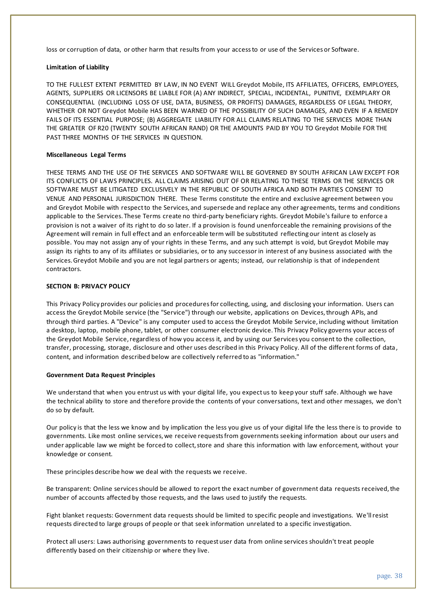loss or corruption of data, or other harm that results from your access to or use of the Services or Software.

### **Limitation of Liability**

TO THE FULLEST EXTENT PERMITTED BY LAW, IN NO EVENT WILL Greydot Mobile, ITS AFFILIATES, OFFICERS, EMPLOYEES, AGENTS, SUPPLIERS OR LICENSORS BE LIABLE FOR (A) ANY INDIRECT, SPECIAL, INCIDENTAL, PUNITIVE, EXEMPLARY OR CONSEQUENTIAL (INCLUDING LOSS OF USE, DATA, BUSINESS, OR PROFITS) DAMAGES, REGARDLESS OF LEGAL THEORY, WHETHER OR NOT Greydot Mobile HAS BEEN WARNED OF THE POSSIBILITY OF SUCH DAMAGES, AND EVEN IF A REMEDY FAILS OF ITS ESSENTIAL PURPOSE; (B) AGGREGATE LIABILITY FOR ALL CLAIMS RELATING TO THE SERVICES MORE THAN THE GREATER OF R20 (TWENTY SOUTH AFRICAN RAND) OR THE AMOUNTS PAID BY YOU TO Greydot Mobile FOR THE PAST THREE MONTHS OF THE SERVICES IN QUESTION.

#### **Miscellaneous Legal Terms**

THESE TERMS AND THE USE OF THE SERVICES AND SOFTWARE WILL BE GOVERNED BY SOUTH AFRICAN LAW EXCEPT FOR ITS CONFLICTS OF LAWS PRINCIPLES. ALL CLAIMS ARISING OUT OF OR RELATING TO THESE TERMS OR THE SERVICES OR SOFTWARE MUST BE LITIGATED EXCLUSIVELY IN THE REPUBLIC OF SOUTH AFRICA AND BOTH PARTIES CONSENT TO VENUE AND PERSONAL JURISDICTION THERE. These Terms constitute the entire and exclusive agreement between you and Greydot Mobile with respect to the Services, and supersede and replace any other agreements, terms and conditions applicable to the Services. These Terms create no third-party beneficiary rights. Greydot Mobile's failure to enforce a provision is not a waiver of its right to do so later. If a provision is found unenforceable the remaining provisions of the Agreement will remain in full effect and an enforceable term will be substituted reflecting our intent as closely as possible. You may not assign any of your rights in these Terms, and any such attempt is void, but Greydot Mobile may assign its rights to any of its affiliates or subsidiaries, or to any successor in interest of any business associated with the Services. Greydot Mobile and you are not legal partners or agents; instead, our relationship is that of independent contractors.

### **SECTION B: PRIVACY POLICY**

This Privacy Policy provides our policies and procedures for collecting, using, and disclosing your information. Users can access the Greydot Mobile service (the "Service") through our website, applications on Devices, through APIs, and through third parties. A "Device" is any computer used to access the Greydot Mobile Service, including without limitation a desktop, laptop, mobile phone, tablet, or other consumer electronic device. This Privacy Policy governs your access of the Greydot Mobile Service, regardless of how you access it, and by using our Services you consent to the collection, transfer, processing, storage, disclosure and other uses described in this Privacy Policy. All of the different forms of data , content, and information described below are collectively referred to as "information."

#### **Government Data Request Principles**

We understand that when you entrust us with your digital life, you expect us to keep your stuff safe. Although we have the technical ability to store and therefore provide the contents of your conversations, text and other messages, we don't do so by default.

Our policy is that the less we know and by implication the less you give us of your digital life the less there is to provide to governments. Like most online services, we receive requests from governments seeking information about our users and under applicable law we might be forced to collect, store and share this information with law enforcement, without your knowledge or consent.

These principles describe how we deal with the requests we receive.

Be transparent: Online services should be allowed to report the exact number of government data requests received, the number of accounts affected by those requests, and the laws used to justify the requests.

Fight blanket requests: Government data requests should be limited to specific people and investigations. We'll resist requests directed to large groups of people or that seek information unrelated to a specific investigation.

Protect all users: Laws authorising governments to request user data from online services shouldn't treat people differently based on their citizenship or where they live.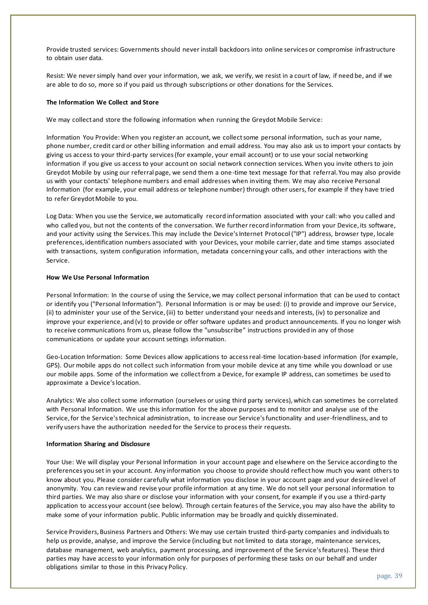Provide trusted services: Governments should never install backdoors into online services or compromise infrastructure to obtain user data.

Resist: We never simply hand over your information, we ask, we verify, we resist in a court of law, if need be, and if we are able to do so, more so if you paid us through subscriptions or other donations for the Services.

### **The Information We Collect and Store**

We may collect and store the following information when running the Greydot Mobile Service:

Information You Provide: When you register an account, we collect some personal information, such as your name, phone number, credit card or other billing information and email address. You may also ask us to import your contacts by giving us access to your third-party services (for example, your email account) or to use your social networking information if you give us access to your account on social network connection services. When you invite others to join Greydot Mobile by using our referral page, we send them a one-time text message for that referral. You may also provide us with your contacts' telephone numbers and email addresses when inviting them. We may also receive Personal Information (for example, your email address or telephone number) through other users, for example if they have tried to refer Greydot Mobile to you.

Log Data: When you use the Service, we automatically record information associated with your call: who you called and who called you, but not the contents of the conversation. We further record information from your Device, its software, and your activity using the Services. This may include the Device's Internet Protocol ("IP") address, browser type, locale preferences, identification numbers associated with your Devices, your mobile carrier, date and time stamps associated with transactions, system configuration information, metadata concerning your calls, and other interactions with the Service.

### **How We Use Personal Information**

Personal Information: In the course of using the Service, we may collect personal information that can be used to contact or identify you ("Personal Information"). Personal Information is or may be used: (i) to provide and improve our Service, (ii) to administer your use of the Service, (iii) to better understand your needs and interests, (iv) to personalize and improve your experience, and (v) to provide or offer software updates and product announcements. If you no longer wish to receive communications from us, please follow the "unsubscribe" instructions provided in any of those communications or update your account settings information.

Geo-Location Information: Some Devices allow applications to access real-time location-based information (for example, GPS). Our mobile apps do not collect such information from your mobile device at any time while you download or use our mobile apps. Some of the information we collect from a Device, for example IP address, can sometimes be used to approximate a Device's location.

Analytics: We also collect some information (ourselves or using third party services), which can sometimes be correlated with Personal Information. We use this information for the above purposes and to monitor and analyse use of the Service, for the Service's technical administration, to increase our Service's functionality and user-friendliness, and to verify users have the authorization needed for the Service to process their requests.

#### **Information Sharing and Disclosure**

Your Use: We will display your Personal Information in your account page and elsewhere on the Service according to the preferences you set in your account. Any information you choose to provide should reflect how much you want others to know about you. Please consider carefully what information you disclose in your account page and your desired level of anonymity. You can review and revise your profile information at any time. We do not sell your personal information to third parties. We may also share or disclose your information with your consent, for example if you use a third-party application to access your account (see below). Through certain features of the Service, you may also have the ability to make some of your information public. Public information may be broadly and quickly disseminated.

Service Providers, Business Partners and Others: We may use certain trusted third-party companies and individuals to help us provide, analyse, and improve the Service (including but not limited to data storage, maintenance services, database management, web analytics, payment processing, and improvement of the Service's features). These third parties may have access to your information only for purposes of performing these tasks on our behalf and under obligations similar to those in this Privacy Policy.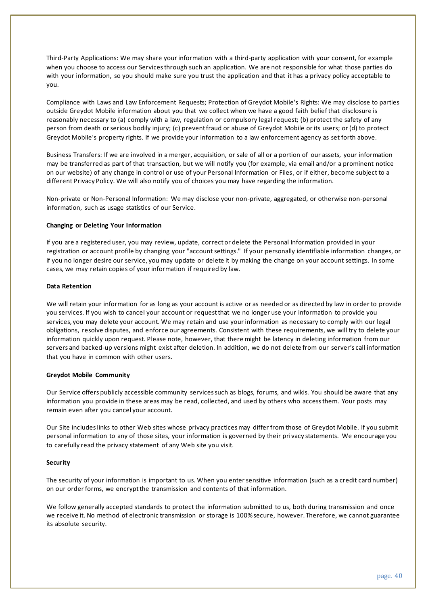Third-Party Applications: We may share your information with a third-party application with your consent, for example when you choose to access our Services through such an application. We are not responsible for what those parties do with your information, so you should make sure you trust the application and that it has a privacy policy acceptable to you.

Compliance with Laws and Law Enforcement Requests; Protection of Greydot Mobile's Rights: We may disclose to parties outside Greydot Mobile information about you that we collect when we have a good faith belief that disclosure is reasonably necessary to (a) comply with a law, regulation or compulsory legal request; (b) protect the safety of any person from death or serious bodily injury; (c) prevent fraud or abuse of Greydot Mobile or its users; or (d) to protect Greydot Mobile's property rights. If we provide your information to a law enforcement agency as set forth above.

Business Transfers: If we are involved in a merger, acquisition, or sale of all or a portion of our assets, your information may be transferred as part of that transaction, but we will notify you (for example, via email and/or a prominent notice on our website) of any change in control or use of your Personal Information or Files, or if either, become subject to a different Privacy Policy. We will also notify you of choices you may have regarding the information.

Non-private or Non-Personal Information: We may disclose your non-private, aggregated, or otherwise non-personal information, such as usage statistics of our Service.

### **Changing or Deleting Your Information**

If you are a registered user, you may review, update, correct or delete the Personal Information provided in your registration or account profile by changing your "account settings." If your personally identifiable information changes, or if you no longer desire our service, you may update or delete it by making the change on your account settings. In some cases, we may retain copies of your information if required by law.

#### **Data Retention**

We will retain your information for as long as your account is active or as needed or as directed by law in order to provide you services. If you wish to cancel your account or request that we no longer use your information to provide you services, you may delete your account. We may retain and use your information as necessary to comply with our legal obligations, resolve disputes, and enforce our agreements. Consistent with these requirements, we will try to delete your information quickly upon request. Please note, however, that there might be latency in deleting information from our servers and backed-up versions might exist after deletion. In addition, we do not delete from our server's call information that you have in common with other users.

#### **Greydot Mobile Community**

Our Service offers publicly accessible community services such as blogs, forums, and wikis. You should be aware that any information you provide in these areas may be read, collected, and used by others who access them. Your posts may remain even after you cancel your account.

Our Site includes links to other Web sites whose privacy practices may differ from those of Greydot Mobile. If you submit personal information to any of those sites, your information is governed by their privacy statements. We encourage you to carefully read the privacy statement of any Web site you visit.

#### **Security**

The security of your information is important to us. When you enter sensitive information (such as a credit card number) on our order forms, we encrypt the transmission and contents of that information.

We follow generally accepted standards to protect the information submitted to us, both during transmission and once we receive it. No method of electronic transmission or storage is 100% secure, however. Therefore, we cannot guarantee its absolute security.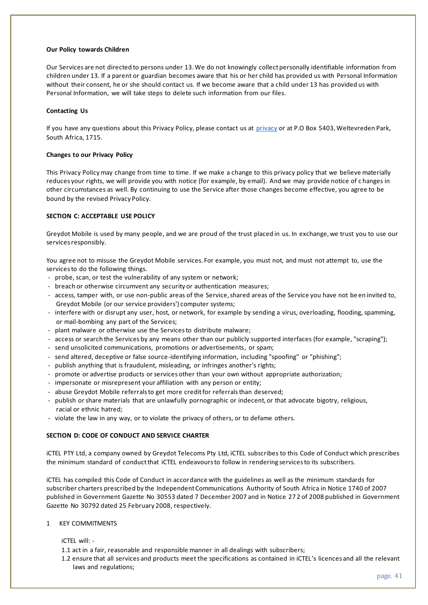### **Our Policy towards Children**

Our Services are not directed to persons under 13. We do not knowingly collect personally identifiable information from children under 13. If a parent or guardian becomes aware that his or her child has provided us with Personal Information without their consent, he or she should contact us. If we become aware that a child under 13 has provided us with Personal Information, we will take steps to delete such information from our files.

### **Contacting Us**

If you have any questions about this Privacy Policy, please contact us at [privacy](https://www.greydot.me/Img/ALL/ActInfo.php?ux=priv) or at P.O Box 5403, Weltevreden Park, South Africa, 1715.

### **Changes to our Privacy Policy**

This Privacy Policy may change from time to time. If we make a change to this privacy policy that we believe materially reduces your rights, we will provide you with notice (for example, by email). And we may provide notice of c hanges in other circumstances as well. By continuing to use the Service after those changes become effective, you agree to be bound by the revised Privacy Policy.

### **SECTION C: ACCEPTABLE USE POLICY**

Greydot Mobile is used by many people, and we are proud of the trust placed in us. In exchange, we trust you to use our services responsibly.

You agree not to misuse the Greydot Mobile services. For example, you must not, and must not attempt to, use the services to do the following things.

- probe, scan, or test the vulnerability of any system or network;
- breach or otherwise circumvent any security or authentication measures;
- access, tamper with, or use non-public areas of the Service, shared areas of the Service you have not be en invited to, Greydot Mobile (or our service providers') computer systems;
- interfere with or disrupt any user, host, or network, for example by sending a virus, overloading, flooding, spamming, or mail-bombing any part of the Services;
- plant malware or otherwise use the Services to distribute malware;
- access or search the Services by any means other than our publicly supported interfaces (for example, "scraping");
- send unsolicited communications, promotions or advertisements, or spam;
- send altered, deceptive or false source-identifying information, including "spoofing" or "phishing";
- publish anything that is fraudulent, misleading, or infringes another's rights;
- promote or advertise products or services other than your own without appropriate authorization;
- impersonate or misrepresent your affiliation with any person or entity;
- abuse Greydot Mobile referrals to get more credit for referrals than deserved;
- publish or share materials that are unlawfully pornographic or indecent, or that advocate bigotry, religious, racial or ethnic hatred;
- violate the law in any way, or to violate the privacy of others, or to defame others.

## **SECTION D: CODE OF CONDUCT AND SERVICE CHARTER**

iCTEL PTY Ltd, a company owned by Greydot Telecoms Pty Ltd, iCTEL subscribes to this Code of Conduct which prescribes the minimum standard of conduct that iCTEL endeavours to follow in rendering services to its subscribers.

iCTEL has compiled this Code of Conduct in accordance with the guidelines as well as the minimum standards for subscriber charters prescribed by the Independent Communications Authority of South Africa in Notice 1740 of 2007 published in Government Gazette No 30553 dated 7 December 2007 and in Notice 27 2 of 2008 published in Government Gazette No 30792 dated 25 February 2008, respectively.

1 KEY COMMITMENTS

iCTEL will: -

- 1.1 act in a fair, reasonable and responsible manner in all dealings with subscribers;
- 1.2 ensure that all services and products meet the specifications as contained in iCTEL's licences and all the relevant laws and regulations;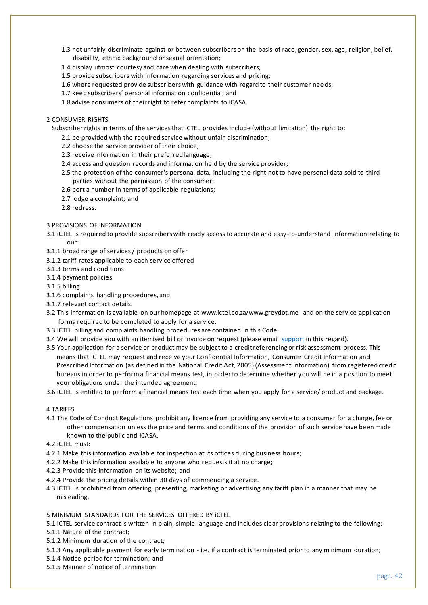- 1.3 not unfairly discriminate against or between subscribers on the basis of race, gender, sex, age, religion, belief, disability, ethnic background or sexual orientation;
- 1.4 display utmost courtesy and care when dealing with subscribers;
- 1.5 provide subscribers with information regarding services and pricing;
- 1.6 where requested provide subscribers with guidance with regard to their customer nee ds;
- 1.7 keep subscribers' personal information confidential; and
- 1.8 advise consumers of their right to refer complaints to ICASA.

## 2 CONSUMER RIGHTS

Subscriber rights in terms of the services that iCTEL provides include (without limitation) the right to:

- 2.1 be provided with the required service without unfair discrimination;
- 2.2 choose the service provider of their choice;
- 2.3 receive information in their preferred language;
- 2.4 access and question records and information held by the service provider;
- 2.5 the protection of the consumer's personal data, including the right not to have personal data sold to third parties without the permission of the consumer;
- 2.6 port a number in terms of applicable regulations;
- 2.7 lodge a complaint; and
- 2.8 redress.

## 3 PROVISIONS OF INFORMATION

- 3.1 iCTEL is required to provide subscribers with ready access to accurate and easy-to-understand information relating to our:
- 3.1.1 broad range of services / products on offer
- 3.1.2 tariff rates applicable to each service offered
- 3.1.3 terms and conditions
- 3.1.4 payment policies
- 3.1.5 billing
- 3.1.6 complaints handling procedures, and
- 3.1.7 relevant contact details.
- 3.2 This information is available on our homepage at www.ictel.co.za/www.greydot.me and on the service application forms required to be completed to apply for a service.
- 3.3 iCTEL billing and complaints handling procedures are contained in this Code.
- 3.4 We will provide you with an itemised bill or invoice on request (please email [support](https://www.greydot.me/Img/ALL/ActInfo.php?ux=priv) in this regard).
- 3.5 Your application for a service or product may be subject to a credit referencing or risk assessment process. This means that iCTEL may request and receive your Confidential Information, Consumer Credit Information and Prescribed Information (as defined in the National Credit Act, 2005) (Assessment Information) from registered credit bureaus in order to perform a financial means test, in order to determine whether you will be in a position to meet your obligations under the intended agreement.
- 3.6 iCTEL is entitled to perform a financial means test each time when you apply for a service/ product and package.

## 4 TARIFFS

4.1 The Code of Conduct Regulations prohibit any licence from providing any service to a consumer for a charge, fee or other compensation unless the price and terms and conditions of the provision of such service have been made known to the public and ICASA.

4.2 iCTEL must:

- 4.2.1 Make this information available for inspection at its offices during business hours;
- 4.2.2 Make this information available to anyone who requests it at no charge;
- 4.2.3 Provide this information on its website; and
- 4.2.4 Provide the pricing details within 30 days of commencing a service.
- 4.3 iCTEL is prohibited from offering, presenting, marketing or advertising any tariff plan in a manner that may be misleading.

## 5 MINIMUM STANDARDS FOR THE SERVICES OFFERED BY iCTEL

- 5.1 iCTEL service contract is written in plain, simple language and includes clear provisions relating to the following:
- 5.1.1 Nature of the contract;
- 5.1.2 Minimum duration of the contract;
- 5.1.3 Any applicable payment for early termination i.e. if a contract is terminated prior to any minimum duration;
- 5.1.4 Notice period for termination; and
- 5.1.5 Manner of notice of termination.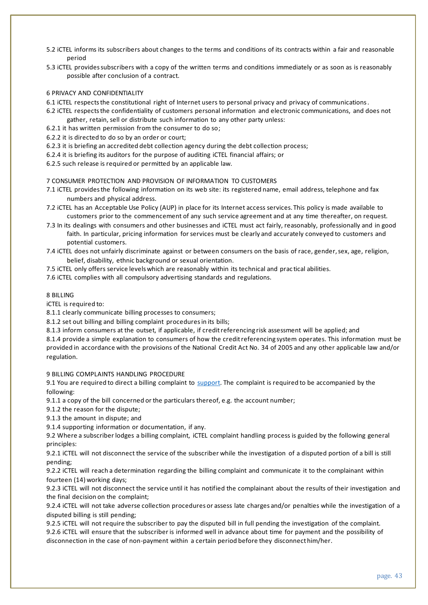- 5.2 iCTEL informs its subscribers about changes to the terms and conditions of its contracts within a fair and reasonable period
- 5.3 iCTEL provides subscribers with a copy of the written terms and conditions immediately or as soon as is reasonably possible after conclusion of a contract.

### 6 PRIVACY AND CONFIDENTIALITY

- 6.1 iCTEL respects the constitutional right of Internet users to personal privacy and privacy of communications.
- 6.2 iCTEL respects the confidentiality of customers personal information and electronic communications, and does not gather, retain, sell or distribute such information to any other party unless:
- 6.2.1 it has written permission from the consumer to do so;
- 6.2.2 it is directed to do so by an order or court;
- 6.2.3 it is briefing an accredited debt collection agency during the debt collection process;
- 6.2.4 it is briefing its auditors for the purpose of auditing iCTEL financial affairs; or
- 6.2.5 such release is required or permitted by an applicable law.

#### 7 CONSUMER PROTECTION AND PROVISION OF INFORMATION TO CUSTOMERS

- 7.1 iCTEL provides the following information on its web site: its registered name, email address, telephone and fax numbers and physical address.
- 7.2 iCTEL has an Acceptable Use Policy (AUP) in place for its Internet access services. This policy is made available to customers prior to the commencement of any such service agreement and at any time thereafter, on request.
- 7.3 In its dealings with consumers and other businesses and iCTEL must act fairly, reasonably, professionally and in good faith. In particular, pricing information for services must be clearly and accurately conveyed to customers and potential customers.
- 7.4 iCTEL does not unfairly discriminate against or between consumers on the basis of race, gender, sex, age, religion, belief, disability, ethnic background or sexual orientation.
- 7.5 iCTEL only offers service levels which are reasonably within its technical and prac tical abilities.
- 7.6 iCTEL complies with all compulsory advertising standards and regulations.

### 8 BILLING

iCTEL is required to:

8.1.1 clearly communicate billing processes to consumers;

8.1.2 set out billing and billing complaint procedures in its bills;

8.1.3 inform consumers at the outset, if applicable, if credit referencing risk assessment will be applied; and

8.1.4 provide a simple explanation to consumers of how the credit referencing system operates. This information must be provided in accordance with the provisions of the National Credit Act No. 34 of 2005 and any other applicable law and/or regulation.

9 BILLING COMPLAINTS HANDLING PROCEDURE

9.1 You are required to direct a billing complaint to [support.](https://www.greydot.me/Img/ALL/ActInfo.php?ux=priv) The complaint is required to be accompanied by the following:

9.1.1 a copy of the bill concerned or the particulars thereof, e.g. the account number;

9.1.2 the reason for the dispute;

9.1.3 the amount in dispute; and

9.1.4 supporting information or documentation, if any.

9.2 Where a subscriber lodges a billing complaint, iCTEL complaint handling process is guided by the following general principles:

9.2.1 iCTEL will not disconnect the service of the subscriber while the investigation of a disputed portion of a bill is still pending;

9.2.2 iCTEL will reach a determination regarding the billing complaint and communicate it to the complainant within fourteen (14) working days;

9.2.3 iCTEL will not disconnect the service until it has notified the complainant about the results of their investigation and the final decision on the complaint;

9.2.4 iCTEL will not take adverse collection procedures or assess late charges and/or penalties while the investigation of a disputed billing is still pending;

9.2.5 iCTEL will not require the subscriber to pay the disputed bill in full pending the investigation of the complaint.

9.2.6 iCTEL will ensure that the subscriber is informed well in advance about time for payment and the possibility of disconnection in the case of non-payment within a certain period before they disconnect him/her.